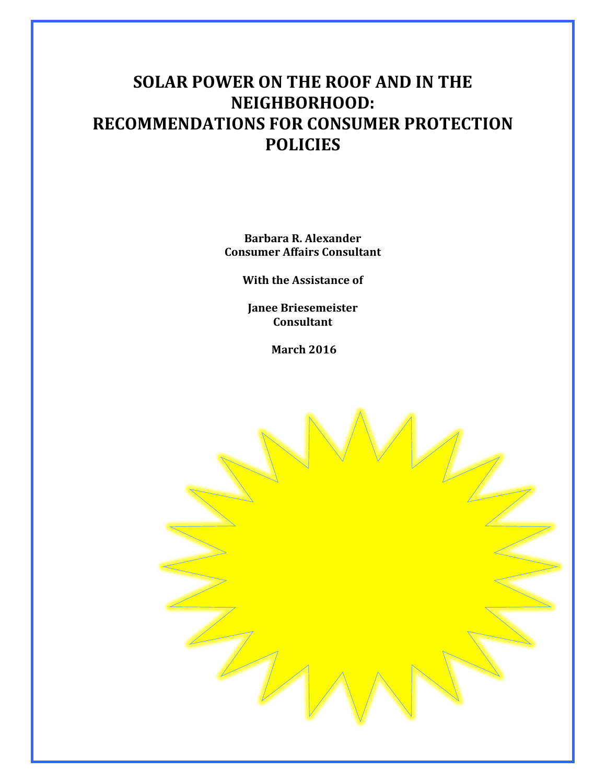# **SOLAR POWER ON THE ROOF AND IN THE NEIGHBORHOOD: RECOMMENDATIONS FOR CONSUMER PROTECTION POLICIES**

**Barbara R. Alexander Consumer Affairs Consultant**

**With the Assistance of** 

**Janee Briesemeister Consultant**

**March 2016**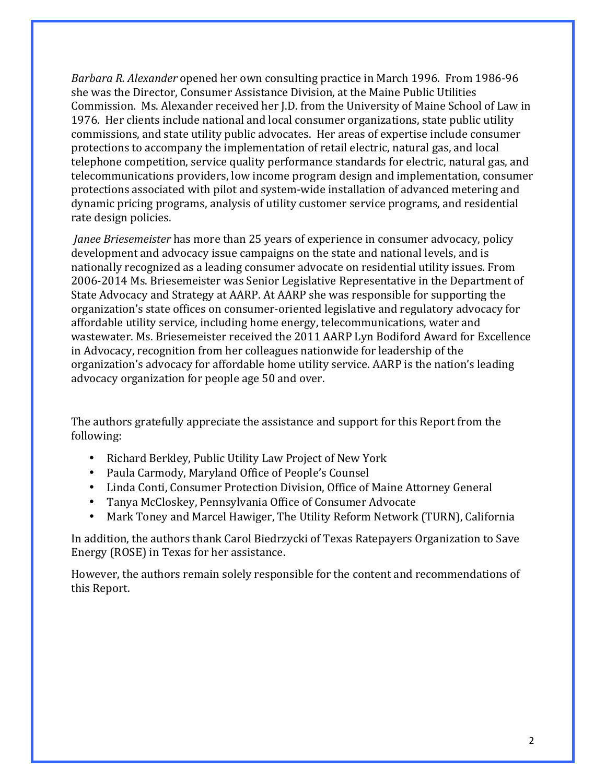*Barbara R. Alexander* opened her own consulting practice in March 1996. From 1986-96 she was the Director, Consumer Assistance Division, at the Maine Public Utilities Commission. Ms. Alexander received her J.D. from the University of Maine School of Law in 1976. Her clients include national and local consumer organizations, state public utility commissions, and state utility public advocates. Her areas of expertise include consumer protections to accompany the implementation of retail electric, natural gas, and local telephone competition, service quality performance standards for electric, natural gas, and telecommunications providers, low income program design and implementation, consumer protections associated with pilot and system-wide installation of advanced metering and dynamic pricing programs, analysis of utility customer service programs, and residential rate design policies.

*Janee Briesemeister* has more than 25 years of experience in consumer advocacy, policy development and advocacy issue campaigns on the state and national levels, and is nationally recognized as a leading consumer advocate on residential utility issues. From 2006-2014 Ms. Briesemeister was Senior Legislative Representative in the Department of State Advocacy and Strategy at AARP. At AARP she was responsible for supporting the organization's state offices on consumer-oriented legislative and regulatory advocacy for affordable utility service, including home energy, telecommunications, water and wastewater. Ms. Briesemeister received the 2011 AARP Lyn Bodiford Award for Excellence in Advocacy, recognition from her colleagues nationwide for leadership of the organization's advocacy for affordable home utility service. AARP is the nation's leading advocacy organization for people age 50 and over.

The authors gratefully appreciate the assistance and support for this Report from the following:

- Richard Berkley, Public Utility Law Project of New York
- Paula Carmody, Maryland Office of People's Counsel
- Linda Conti, Consumer Protection Division, Office of Maine Attorney General
- Tanya McCloskey, Pennsylvania Office of Consumer Advocate
- Mark Toney and Marcel Hawiger, The Utility Reform Network (TURN), California

In addition, the authors thank Carol Biedrzycki of Texas Ratepayers Organization to Save Energy (ROSE) in Texas for her assistance.

However, the authors remain solely responsible for the content and recommendations of this Report.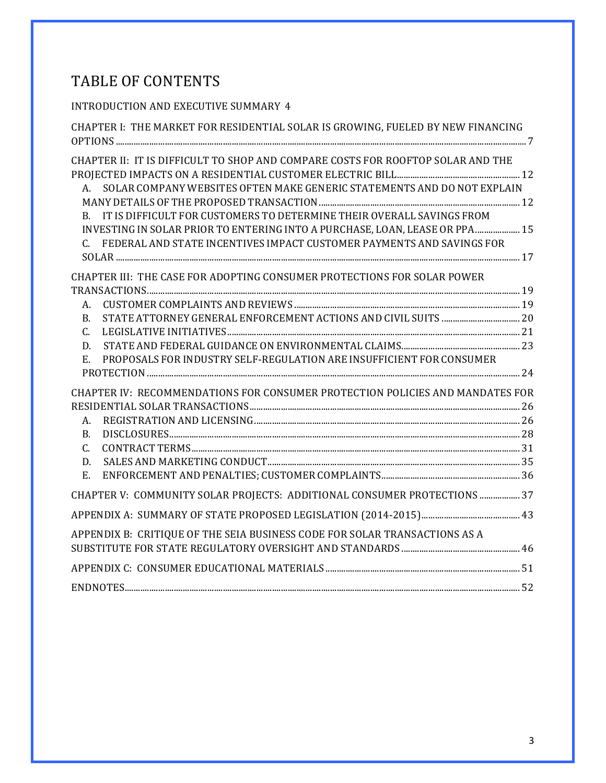# TABLE OF CONTENTS

# INTRODUCTION AND EXECUTIVE SUMMARY 4

| CHAPTER I: THE MARKET FOR RESIDENTIAL SOLAR IS GROWING, FUELED BY NEW FINANCING                                                                                                                                                                                                                                                                                                                      |  |
|------------------------------------------------------------------------------------------------------------------------------------------------------------------------------------------------------------------------------------------------------------------------------------------------------------------------------------------------------------------------------------------------------|--|
| CHAPTER II: IT IS DIFFICULT TO SHOP AND COMPARE COSTS FOR ROOFTOP SOLAR AND THE<br>A. SOLAR COMPANY WEBSITES OFTEN MAKE GENERIC STATEMENTS AND DO NOT EXPLAIN<br>B. IT IS DIFFICULT FOR CUSTOMERS TO DETERMINE THEIR OVERALL SAVINGS FROM<br>INVESTING IN SOLAR PRIOR TO ENTERING INTO A PURCHASE, LOAN, LEASE OR PPA 15<br>C. FEDERAL AND STATE INCENTIVES IMPACT CUSTOMER PAYMENTS AND SAVINGS FOR |  |
| CHAPTER III: THE CASE FOR ADOPTING CONSUMER PROTECTIONS FOR SOLAR POWER                                                                                                                                                                                                                                                                                                                              |  |
|                                                                                                                                                                                                                                                                                                                                                                                                      |  |
| А.                                                                                                                                                                                                                                                                                                                                                                                                   |  |
| <b>B.</b>                                                                                                                                                                                                                                                                                                                                                                                            |  |
| C.                                                                                                                                                                                                                                                                                                                                                                                                   |  |
| D.                                                                                                                                                                                                                                                                                                                                                                                                   |  |
| PROPOSALS FOR INDUSTRY SELF-REGULATION ARE INSUFFICIENT FOR CONSUMER<br>E.                                                                                                                                                                                                                                                                                                                           |  |
| CHAPTER IV: RECOMMENDATIONS FOR CONSUMER PROTECTION POLICIES AND MANDATES FOR                                                                                                                                                                                                                                                                                                                        |  |
|                                                                                                                                                                                                                                                                                                                                                                                                      |  |
| А.                                                                                                                                                                                                                                                                                                                                                                                                   |  |
| <b>B.</b>                                                                                                                                                                                                                                                                                                                                                                                            |  |
| $C_{\cdot}$                                                                                                                                                                                                                                                                                                                                                                                          |  |
| D.                                                                                                                                                                                                                                                                                                                                                                                                   |  |
| E.                                                                                                                                                                                                                                                                                                                                                                                                   |  |
| CHAPTER V: COMMUNITY SOLAR PROJECTS: ADDITIONAL CONSUMER PROTECTIONS  37                                                                                                                                                                                                                                                                                                                             |  |
|                                                                                                                                                                                                                                                                                                                                                                                                      |  |
| APPENDIX B: CRITIQUE OF THE SEIA BUSINESS CODE FOR SOLAR TRANSACTIONS AS A                                                                                                                                                                                                                                                                                                                           |  |
|                                                                                                                                                                                                                                                                                                                                                                                                      |  |
|                                                                                                                                                                                                                                                                                                                                                                                                      |  |
|                                                                                                                                                                                                                                                                                                                                                                                                      |  |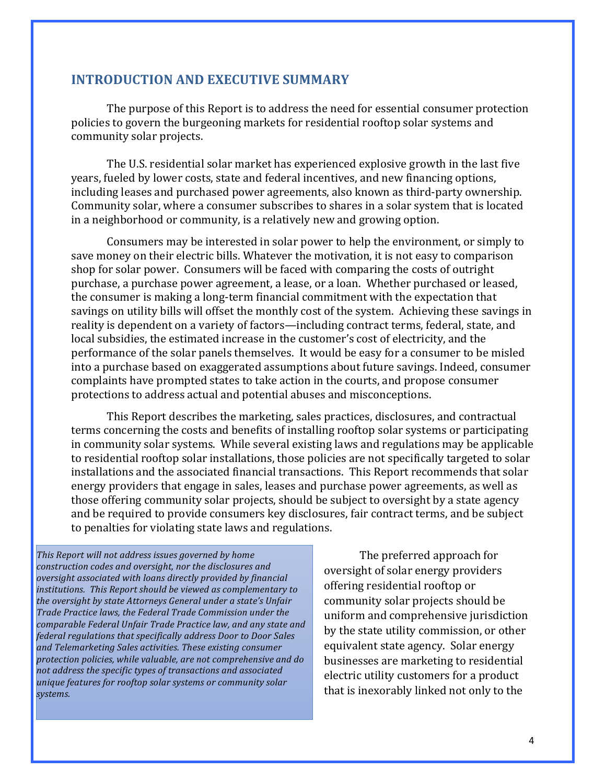#### **INTRODUCTION AND EXECUTIVE SUMMARY**

The purpose of this Report is to address the need for essential consumer protection policies to govern the burgeoning markets for residential rooftop solar systems and community solar projects.

The U.S. residential solar market has experienced explosive growth in the last five years, fueled by lower costs, state and federal incentives, and new financing options, including leases and purchased power agreements, also known as third-party ownership. Community solar, where a consumer subscribes to shares in a solar system that is located in a neighborhood or community, is a relatively new and growing option.

Consumers may be interested in solar power to help the environment, or simply to save money on their electric bills. Whatever the motivation, it is not easy to comparison shop for solar power. Consumers will be faced with comparing the costs of outright purchase, a purchase power agreement, a lease, or a loan. Whether purchased or leased, the consumer is making a long-term financial commitment with the expectation that savings on utility bills will offset the monthly cost of the system. Achieving these savings in reality is dependent on a variety of factors—including contract terms, federal, state, and local subsidies, the estimated increase in the customer's cost of electricity, and the performance of the solar panels themselves. It would be easy for a consumer to be misled into a purchase based on exaggerated assumptions about future savings. Indeed, consumer complaints have prompted states to take action in the courts, and propose consumer protections to address actual and potential abuses and misconceptions.

This Report describes the marketing, sales practices, disclosures, and contractual terms concerning the costs and benefits of installing rooftop solar systems or participating in community solar systems. While several existing laws and regulations may be applicable to residential rooftop solar installations, those policies are not specifically targeted to solar installations and the associated financial transactions. This Report recommends that solar energy providers that engage in sales, leases and purchase power agreements, as well as those offering community solar projects, should be subject to oversight by a state agency and be required to provide consumers key disclosures, fair contract terms, and be subject to penalties for violating state laws and regulations.

This Report will not address issues governed by home construction codes and oversight, nor the disclosures and *oversight associated with loans directly provided by financial* institutions. This Report should be viewed as complementary to the oversight by state Attorneys General under a state's Unfair Trade Practice laws, the Federal Trade Commission under the comparable Federal Unfair Trade Practice law, and any state and *federal regulations that specifically address Door to Door Sales* and Telemarketing Sales activities. These existing consumer protection policies, while valuable, are not comprehensive and do not address the specific types of transactions and associated *unique features for rooftop solar systems or community solar systems.*

The preferred approach for oversight of solar energy providers offering residential rooftop or community solar projects should be uniform and comprehensive jurisdiction by the state utility commission, or other equivalent state agency. Solar energy businesses are marketing to residential electric utility customers for a product that is inexorably linked not only to the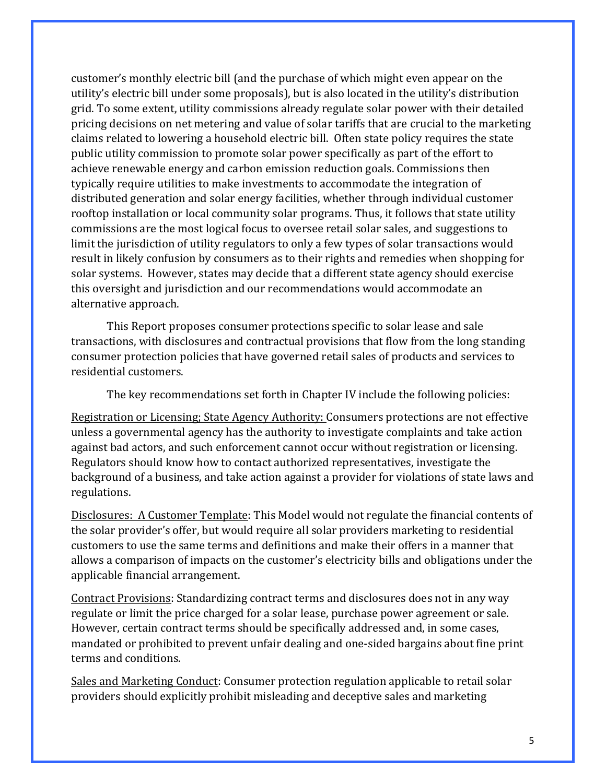customer's monthly electric bill (and the purchase of which might even appear on the utility's electric bill under some proposals), but is also located in the utility's distribution grid. To some extent, utility commissions already regulate solar power with their detailed pricing decisions on net metering and value of solar tariffs that are crucial to the marketing claims related to lowering a household electric bill. Often state policy requires the state public utility commission to promote solar power specifically as part of the effort to achieve renewable energy and carbon emission reduction goals. Commissions then typically require utilities to make investments to accommodate the integration of distributed generation and solar energy facilities, whether through individual customer rooftop installation or local community solar programs. Thus, it follows that state utility commissions are the most logical focus to oversee retail solar sales, and suggestions to limit the jurisdiction of utility regulators to only a few types of solar transactions would result in likely confusion by consumers as to their rights and remedies when shopping for solar systems. However, states may decide that a different state agency should exercise this oversight and jurisdiction and our recommendations would accommodate an alternative approach.

This Report proposes consumer protections specific to solar lease and sale transactions, with disclosures and contractual provisions that flow from the long standing consumer protection policies that have governed retail sales of products and services to residential customers.

The key recommendations set forth in Chapter IV include the following policies:

Registration or Licensing; State Agency Authority: Consumers protections are not effective unless a governmental agency has the authority to investigate complaints and take action against bad actors, and such enforcement cannot occur without registration or licensing. Regulators should know how to contact authorized representatives, investigate the background of a business, and take action against a provider for violations of state laws and regulations.

Disclosures: A Customer Template: This Model would not regulate the financial contents of the solar provider's offer, but would require all solar providers marketing to residential customers to use the same terms and definitions and make their offers in a manner that allows a comparison of impacts on the customer's electricity bills and obligations under the applicable financial arrangement.

Contract Provisions: Standardizing contract terms and disclosures does not in any way regulate or limit the price charged for a solar lease, purchase power agreement or sale. However, certain contract terms should be specifically addressed and, in some cases, mandated or prohibited to prevent unfair dealing and one-sided bargains about fine print terms and conditions.

Sales and Marketing Conduct: Consumer protection regulation applicable to retail solar providers should explicitly prohibit misleading and deceptive sales and marketing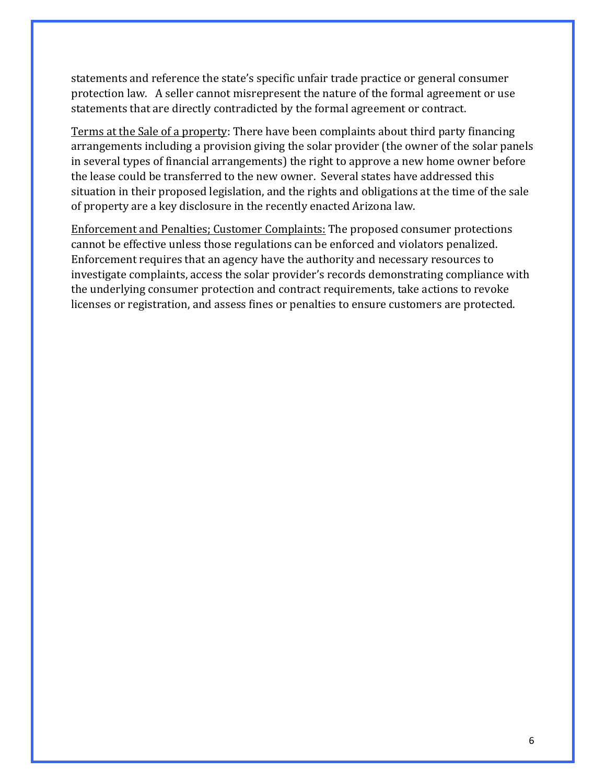statements and reference the state's specific unfair trade practice or general consumer protection law. A seller cannot misrepresent the nature of the formal agreement or use statements that are directly contradicted by the formal agreement or contract.

Terms at the Sale of a property: There have been complaints about third party financing arrangements including a provision giving the solar provider (the owner of the solar panels in several types of financial arrangements) the right to approve a new home owner before the lease could be transferred to the new owner. Several states have addressed this situation in their proposed legislation, and the rights and obligations at the time of the sale of property are a key disclosure in the recently enacted Arizona law.

Enforcement and Penalties; Customer Complaints: The proposed consumer protections cannot be effective unless those regulations can be enforced and violators penalized. Enforcement requires that an agency have the authority and necessary resources to investigate complaints, access the solar provider's records demonstrating compliance with the underlying consumer protection and contract requirements, take actions to revoke licenses or registration, and assess fines or penalties to ensure customers are protected.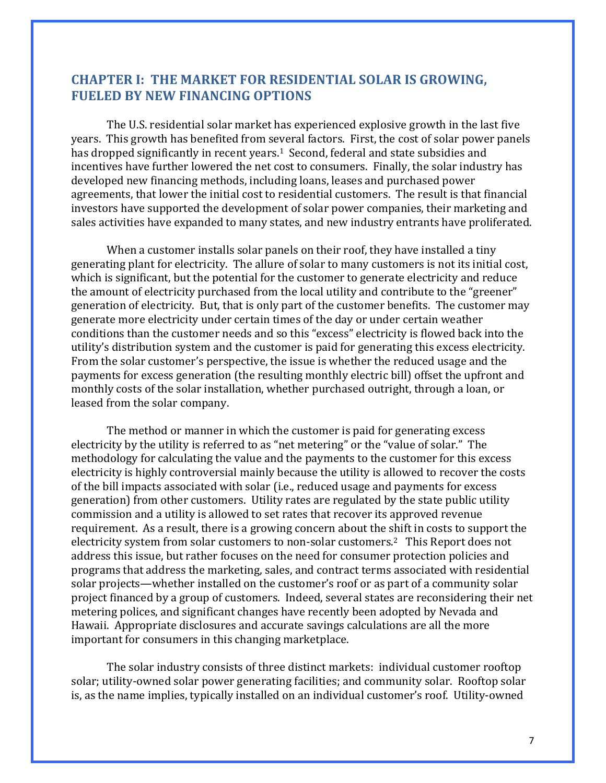## **CHAPTER I: THE MARKET FOR RESIDENTIAL SOLAR IS GROWING, FUELED BY NEW FINANCING OPTIONS**

The U.S. residential solar market has experienced explosive growth in the last five years. This growth has benefited from several factors. First, the cost of solar power panels has dropped significantly in recent years.<sup>1</sup> Second, federal and state subsidies and incentives have further lowered the net cost to consumers. Finally, the solar industry has developed new financing methods, including loans, leases and purchased power agreements, that lower the initial cost to residential customers. The result is that financial investors have supported the development of solar power companies, their marketing and sales activities have expanded to many states, and new industry entrants have proliferated.

When a customer installs solar panels on their roof, they have installed a tiny generating plant for electricity. The allure of solar to many customers is not its initial cost, which is significant, but the potential for the customer to generate electricity and reduce the amount of electricity purchased from the local utility and contribute to the "greener" generation of electricity. But, that is only part of the customer benefits. The customer may generate more electricity under certain times of the day or under certain weather conditions than the customer needs and so this "excess" electricity is flowed back into the utility's distribution system and the customer is paid for generating this excess electricity. From the solar customer's perspective, the issue is whether the reduced usage and the payments for excess generation (the resulting monthly electric bill) offset the upfront and monthly costs of the solar installation, whether purchased outright, through a loan, or leased from the solar company.

The method or manner in which the customer is paid for generating excess electricity by the utility is referred to as "net metering" or the "value of solar." The methodology for calculating the value and the payments to the customer for this excess electricity is highly controversial mainly because the utility is allowed to recover the costs of the bill impacts associated with solar (i.e., reduced usage and payments for excess generation) from other customers. Utility rates are regulated by the state public utility commission and a utility is allowed to set rates that recover its approved revenue requirement. As a result, there is a growing concern about the shift in costs to support the electricity system from solar customers to non-solar customers.<sup>2</sup> This Report does not address this issue, but rather focuses on the need for consumer protection policies and programs that address the marketing, sales, and contract terms associated with residential solar projects—whether installed on the customer's roof or as part of a community solar project financed by a group of customers. Indeed, several states are reconsidering their net metering polices, and significant changes have recently been adopted by Nevada and Hawaii. Appropriate disclosures and accurate savings calculations are all the more important for consumers in this changing marketplace.

The solar industry consists of three distinct markets: individual customer rooftop solar; utility-owned solar power generating facilities; and community solar. Rooftop solar is, as the name implies, typically installed on an individual customer's roof. Utility-owned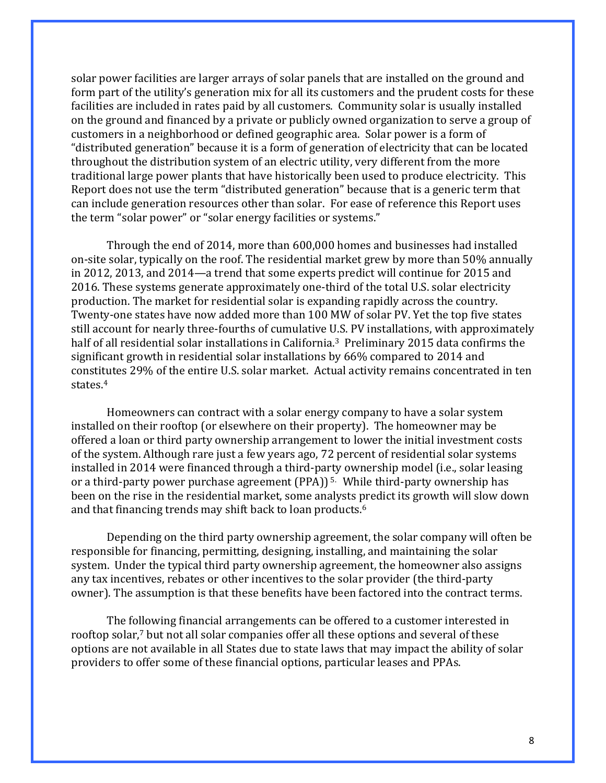solar power facilities are larger arrays of solar panels that are installed on the ground and form part of the utility's generation mix for all its customers and the prudent costs for these facilities are included in rates paid by all customers. Community solar is usually installed on the ground and financed by a private or publicly owned organization to serve a group of customers in a neighborhood or defined geographic area. Solar power is a form of "distributed generation" because it is a form of generation of electricity that can be located throughout the distribution system of an electric utility, very different from the more traditional large power plants that have historically been used to produce electricity. This Report does not use the term "distributed generation" because that is a generic term that can include generation resources other than solar. For ease of reference this Report uses the term "solar power" or "solar energy facilities or systems."

Through the end of 2014, more than 600,000 homes and businesses had installed on-site solar, typically on the roof. The residential market grew by more than 50% annually in 2012, 2013, and 2014—a trend that some experts predict will continue for 2015 and 2016. These systems generate approximately one-third of the total U.S. solar electricity production. The market for residential solar is expanding rapidly across the country. Twenty-one states have now added more than 100 MW of solar PV. Yet the top five states still account for nearly three-fourths of cumulative U.S. PV installations, with approximately half of all residential solar installations in California.<sup>3</sup> Preliminary 2015 data confirms the significant growth in residential solar installations by 66% compared to 2014 and constitutes 29% of the entire U.S. solar market. Actual activity remains concentrated in ten states.4

Homeowners can contract with a solar energy company to have a solar system installed on their rooftop (or elsewhere on their property). The homeowner may be offered a loan or third party ownership arrangement to lower the initial investment costs of the system. Although rare just a few years ago, 72 percent of residential solar systems installed in 2014 were financed through a third-party ownership model (i.e., solar leasing or a third-party power purchase agreement  $(PPA)$ <sup>5.</sup> While third-party ownership has been on the rise in the residential market, some analysts predict its growth will slow down and that financing trends may shift back to loan products.<sup>6</sup>

Depending on the third party ownership agreement, the solar company will often be responsible for financing, permitting, designing, installing, and maintaining the solar system. Under the typical third party ownership agreement, the homeowner also assigns any tax incentives, rebates or other incentives to the solar provider (the third-party owner). The assumption is that these benefits have been factored into the contract terms.

The following financial arrangements can be offered to a customer interested in rooftop solar,<sup>7</sup> but not all solar companies offer all these options and several of these options are not available in all States due to state laws that may impact the ability of solar providers to offer some of these financial options, particular leases and PPAs.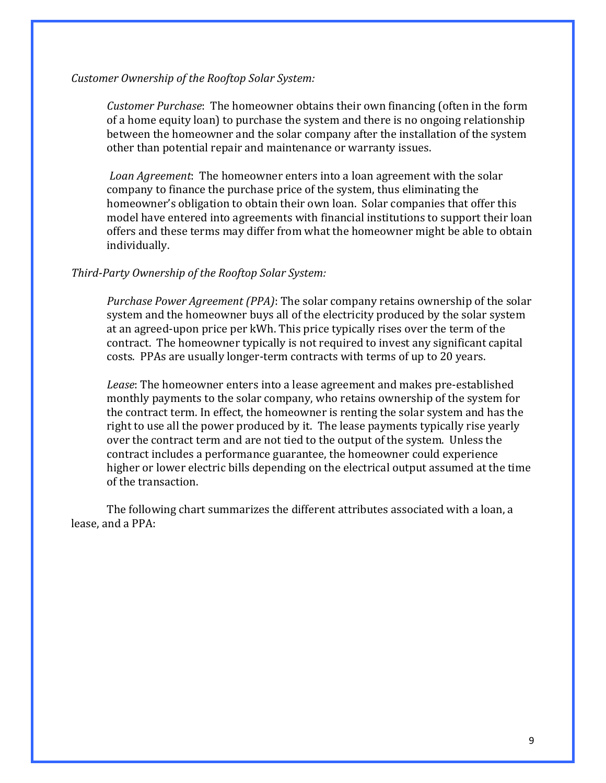#### *Customer Ownership of the Rooftop Solar System:*

*Customer Purchase*: The homeowner obtains their own financing (often in the form of a home equity loan) to purchase the system and there is no ongoing relationship between the homeowner and the solar company after the installation of the system other than potential repair and maintenance or warranty issues.

*Loan Agreement*: The homeowner enters into a loan agreement with the solar company to finance the purchase price of the system, thus eliminating the homeowner's obligation to obtain their own loan. Solar companies that offer this model have entered into agreements with financial institutions to support their loan offers and these terms may differ from what the homeowner might be able to obtain individually.

#### *Third-Party Ownership of the Rooftop Solar System:*

*Purchase Power Agreement (PPA)*: The solar company retains ownership of the solar system and the homeowner buys all of the electricity produced by the solar system at an agreed-upon price per kWh. This price typically rises over the term of the contract. The homeowner typically is not required to invest any significant capital costs. PPAs are usually longer-term contracts with terms of up to 20 years.

*Lease*: The homeowner enters into a lease agreement and makes pre-established monthly payments to the solar company, who retains ownership of the system for the contract term. In effect, the homeowner is renting the solar system and has the right to use all the power produced by it. The lease payments typically rise yearly over the contract term and are not tied to the output of the system. Unless the contract includes a performance guarantee, the homeowner could experience higher or lower electric bills depending on the electrical output assumed at the time of the transaction.

The following chart summarizes the different attributes associated with a loan, a lease, and a PPA: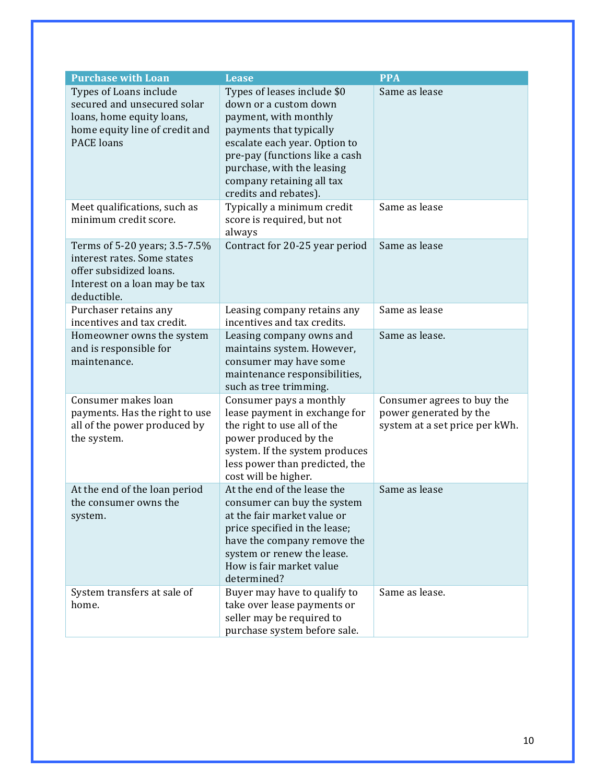| <b>Purchase with Loan</b>                                                                                                                 | <b>Lease</b>                                                                                                                                                                                                                                                    | <b>PPA</b>                                                                             |
|-------------------------------------------------------------------------------------------------------------------------------------------|-----------------------------------------------------------------------------------------------------------------------------------------------------------------------------------------------------------------------------------------------------------------|----------------------------------------------------------------------------------------|
| Types of Loans include<br>secured and unsecured solar<br>loans, home equity loans,<br>home equity line of credit and<br><b>PACE</b> loans | Types of leases include \$0<br>down or a custom down<br>payment, with monthly<br>payments that typically<br>escalate each year. Option to<br>pre-pay (functions like a cash<br>purchase, with the leasing<br>company retaining all tax<br>credits and rebates). | Same as lease                                                                          |
| Meet qualifications, such as<br>minimum credit score.                                                                                     | Typically a minimum credit<br>score is required, but not<br>always                                                                                                                                                                                              | Same as lease                                                                          |
| Terms of 5-20 years; 3.5-7.5%<br>interest rates. Some states<br>offer subsidized loans.<br>Interest on a loan may be tax<br>deductible.   | Contract for 20-25 year period                                                                                                                                                                                                                                  | Same as lease                                                                          |
| Purchaser retains any<br>incentives and tax credit.                                                                                       | Leasing company retains any<br>incentives and tax credits.                                                                                                                                                                                                      | Same as lease                                                                          |
| Homeowner owns the system<br>and is responsible for<br>maintenance.                                                                       | Leasing company owns and<br>maintains system. However,<br>consumer may have some<br>maintenance responsibilities,<br>such as tree trimming.                                                                                                                     | Same as lease.                                                                         |
| Consumer makes loan<br>payments. Has the right to use<br>all of the power produced by<br>the system.                                      | Consumer pays a monthly<br>lease payment in exchange for<br>the right to use all of the<br>power produced by the<br>system. If the system produces<br>less power than predicted, the<br>cost will be higher.                                                    | Consumer agrees to buy the<br>power generated by the<br>system at a set price per kWh. |
| At the end of the loan period<br>the consumer owns the<br>system.                                                                         | At the end of the lease the<br>consumer can buy the system<br>at the fair market value or<br>price specified in the lease;<br>have the company remove the<br>system or renew the lease.<br>How is fair market value<br>determined?                              | Same as lease                                                                          |
| System transfers at sale of<br>home.                                                                                                      | Buyer may have to qualify to<br>take over lease payments or<br>seller may be required to<br>purchase system before sale.                                                                                                                                        | Same as lease.                                                                         |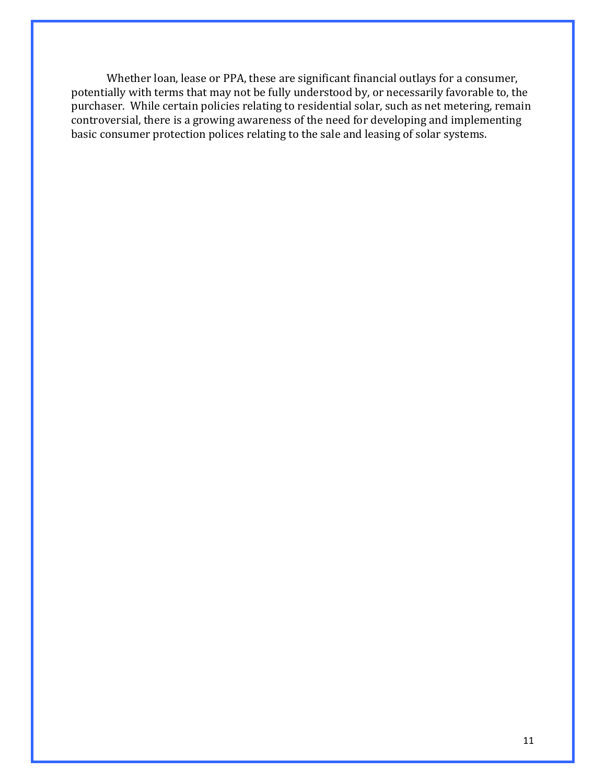Whether loan, lease or PPA, these are significant financial outlays for a consumer, potentially with terms that may not be fully understood by, or necessarily favorable to, the purchaser. While certain policies relating to residential solar, such as net metering, remain controversial, there is a growing awareness of the need for developing and implementing basic consumer protection polices relating to the sale and leasing of solar systems.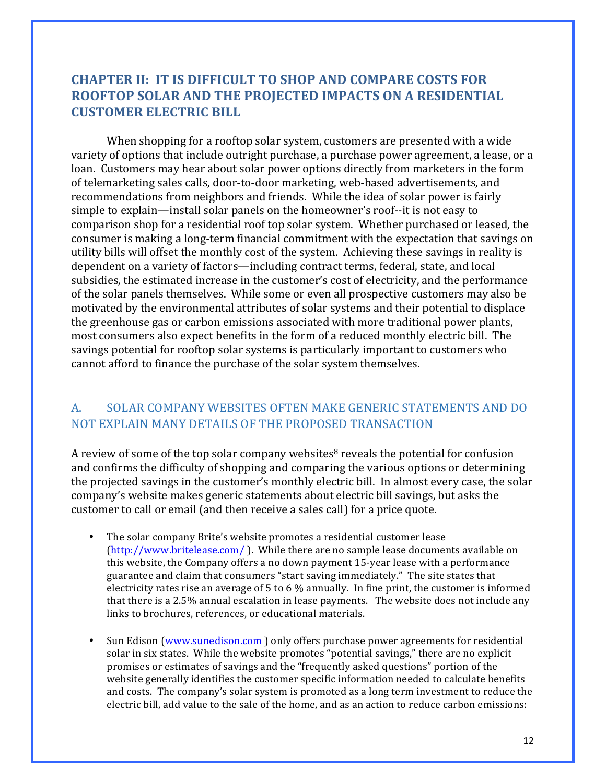# **CHAPTER II: IT IS DIFFICULT TO SHOP AND COMPARE COSTS FOR ROOFTOP SOLAR AND THE PROJECTED IMPACTS ON A RESIDENTIAL CUSTOMER ELECTRIC BILL**

When shopping for a rooftop solar system, customers are presented with a wide variety of options that include outright purchase, a purchase power agreement, a lease, or a loan. Customers may hear about solar power options directly from marketers in the form of telemarketing sales calls, door-to-door marketing, web-based advertisements, and recommendations from neighbors and friends. While the idea of solar power is fairly simple to explain—install solar panels on the homeowner's roof--it is not easy to comparison shop for a residential roof top solar system. Whether purchased or leased, the consumer is making a long-term financial commitment with the expectation that savings on utility bills will offset the monthly cost of the system. Achieving these savings in reality is dependent on a variety of factors—including contract terms, federal, state, and local subsidies, the estimated increase in the customer's cost of electricity, and the performance of the solar panels themselves. While some or even all prospective customers may also be motivated by the environmental attributes of solar systems and their potential to displace the greenhouse gas or carbon emissions associated with more traditional power plants, most consumers also expect benefits in the form of a reduced monthly electric bill. The savings potential for rooftop solar systems is particularly important to customers who cannot afford to finance the purchase of the solar system themselves.

## A. SOLAR COMPANY WEBSITES OFTEN MAKE GENERIC STATEMENTS AND DO NOT EXPLAIN MANY DETAILS OF THE PROPOSED TRANSACTION

A review of some of the top solar company websites<sup>8</sup> reveals the potential for confusion and confirms the difficulty of shopping and comparing the various options or determining the projected savings in the customer's monthly electric bill. In almost every case, the solar company's website makes generic statements about electric bill savings, but asks the customer to call or email (and then receive a sales call) for a price quote.

- The solar company Brite's website promotes a residential customer lease  $(\text{http://www.britelease.com/})$ . While there are no sample lease documents available on this website, the Company offers a no down payment 15-year lease with a performance guarantee and claim that consumers "start saving immediately." The site states that electricity rates rise an average of 5 to 6  $\%$  annually. In fine print, the customer is informed that there is a 2.5% annual escalation in lease payments. The website does not include any links to brochures, references, or educational materials.
- Sun Edison (www.sunedison.com ) only offers purchase power agreements for residential solar in six states. While the website promotes "potential savings," there are no explicit promises or estimates of savings and the "frequently asked questions" portion of the website generally identifies the customer specific information needed to calculate benefits and costs. The company's solar system is promoted as a long term investment to reduce the electric bill, add value to the sale of the home, and as an action to reduce carbon emissions: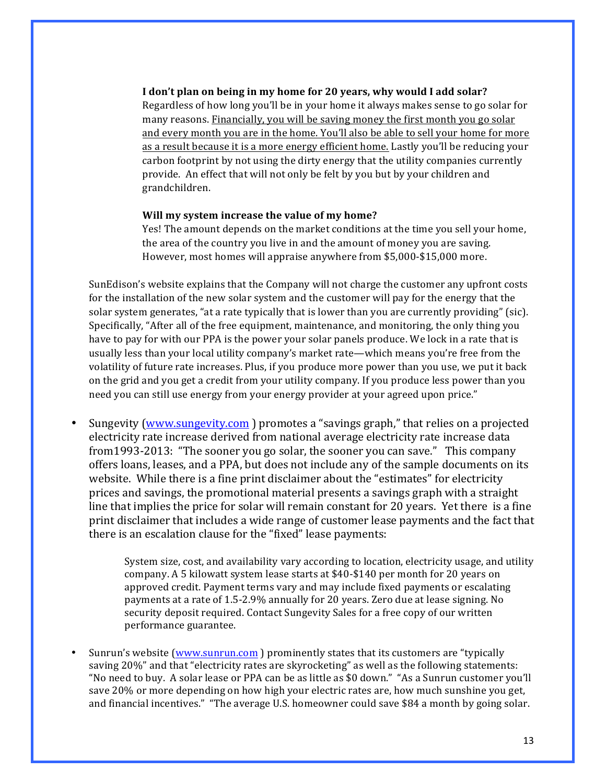#### I don't plan on being in my home for 20 years, why would I add solar? Regardless of how long you'll be in your home it always makes sense to go solar for many reasons. Financially, you will be saving money the first month you go solar and every month you are in the home. You'll also be able to sell your home for more as a result because it is a more energy efficient home. Lastly you'll be reducing your carbon footprint by not using the dirty energy that the utility companies currently provide. An effect that will not only be felt by you but by your children and grandchildren.

#### **Will my system increase the value of my home?**

Yes! The amount depends on the market conditions at the time you sell your home, the area of the country you live in and the amount of money you are saying. However, most homes will appraise anywhere from \$5,000-\$15,000 more.

SunEdison's website explains that the Company will not charge the customer any upfront costs for the installation of the new solar system and the customer will pay for the energy that the solar system generates, "at a rate typically that is lower than you are currently providing" (sic). Specifically, "After all of the free equipment, maintenance, and monitoring, the only thing you have to pay for with our PPA is the power your solar panels produce. We lock in a rate that is usually less than your local utility company's market rate—which means you're free from the volatility of future rate increases. Plus, if you produce more power than you use, we put it back on the grid and you get a credit from your utility company. If you produce less power than you need you can still use energy from your energy provider at your agreed upon price."

Sungevity (www.sungevity.com) promotes a "savings graph," that relies on a projected electricity rate increase derived from national average electricity rate increase data from1993-2013: "The sooner you go solar, the sooner you can save." This company offers loans, leases, and a PPA, but does not include any of the sample documents on its website. While there is a fine print disclaimer about the "estimates" for electricity prices and savings, the promotional material presents a savings graph with a straight line that implies the price for solar will remain constant for 20 years. Yet there is a fine print disclaimer that includes a wide range of customer lease payments and the fact that there is an escalation clause for the "fixed" lease payments:

> System size, cost, and availability vary according to location, electricity usage, and utility company. A 5 kilowatt system lease starts at  $$40-\$140$  per month for 20 years on approved credit. Payment terms vary and may include fixed payments or escalating payments at a rate of 1.5-2.9% annually for 20 years. Zero due at lease signing. No security deposit required. Contact Sungevity Sales for a free copy of our written performance guarantee.

Sunrun's website (www.sunrun.com) prominently states that its customers are "typically saving 20%" and that "electricity rates are skyrocketing" as well as the following statements: "No need to buy. A solar lease or PPA can be as little as \$0 down." "As a Sunrun customer you'll save 20% or more depending on how high your electric rates are, how much sunshine you get, and financial incentives." "The average U.S. homeowner could save \$84 a month by going solar.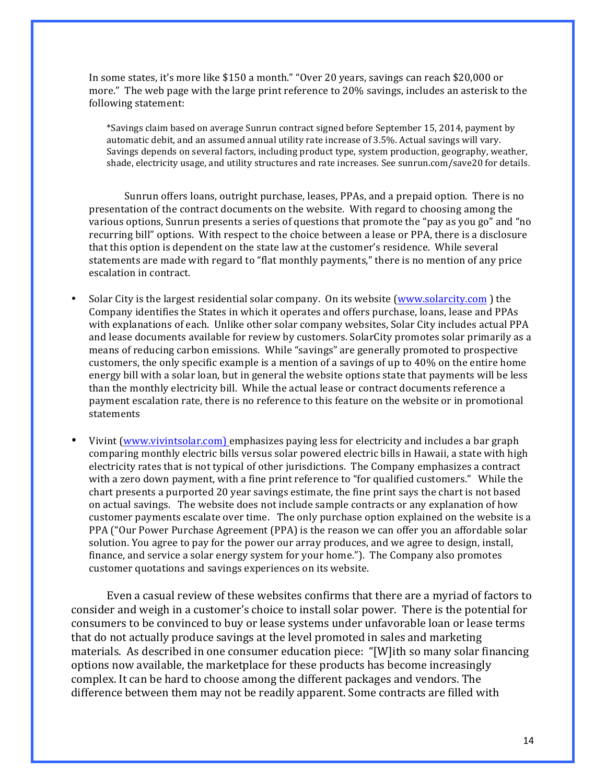In some states, it's more like  $$150$  a month." "Over 20 years, savings can reach  $$20,000$  or more." The web page with the large print reference to  $20\%$  savings, includes an asterisk to the following statement:

\*Savings claim based on average Sunrun contract signed before September 15, 2014, payment by automatic debit, and an assumed annual utility rate increase of 3.5%. Actual savings will vary. Savings depends on several factors, including product type, system production, geography, weather, shade, electricity usage, and utility structures and rate increases. See sunrun.com/save20 for details.

Sunrun offers loans, outright purchase, leases, PPAs, and a prepaid option. There is no presentation of the contract documents on the website. With regard to choosing among the various options, Sunrun presents a series of questions that promote the "pay as you go" and "no recurring bill" options. With respect to the choice between a lease or PPA, there is a disclosure that this option is dependent on the state law at the customer's residence. While several statements are made with regard to "flat monthly payments," there is no mention of any price escalation in contract.

- Solar City is the largest residential solar company. On its website  $(www.solarcity.com)$  the Company identifies the States in which it operates and offers purchase, loans, lease and PPAs with explanations of each. Unlike other solar company websites, Solar City includes actual PPA and lease documents available for review by customers. SolarCity promotes solar primarily as a means of reducing carbon emissions. While "savings" are generally promoted to prospective customers, the only specific example is a mention of a savings of up to  $40\%$  on the entire home energy bill with a solar loan, but in general the website options state that payments will be less than the monthly electricity bill. While the actual lease or contract documents reference a payment escalation rate, there is no reference to this feature on the website or in promotional statements
- Vivint (www.vivintsolar.com) emphasizes paying less for electricity and includes a bar graph comparing monthly electric bills versus solar powered electric bills in Hawaii, a state with high electricity rates that is not typical of other jurisdictions. The Company emphasizes a contract with a zero down payment, with a fine print reference to "for qualified customers." While the chart presents a purported 20 year savings estimate, the fine print says the chart is not based on actual savings. The website does not include sample contracts or any explanation of how customer payments escalate over time. The only purchase option explained on the website is a PPA ("Our Power Purchase Agreement (PPA) is the reason we can offer you an affordable solar solution. You agree to pay for the power our array produces, and we agree to design, install, finance, and service a solar energy system for your home."). The Company also promotes customer quotations and savings experiences on its website.

Even a casual review of these websites confirms that there are a myriad of factors to consider and weigh in a customer's choice to install solar power. There is the potential for consumers to be convinced to buy or lease systems under unfavorable loan or lease terms that do not actually produce savings at the level promoted in sales and marketing materials. As described in one consumer education piece: "[W]ith so many solar financing options now available, the marketplace for these products has become increasingly complex. It can be hard to choose among the different packages and vendors. The difference between them may not be readily apparent. Some contracts are filled with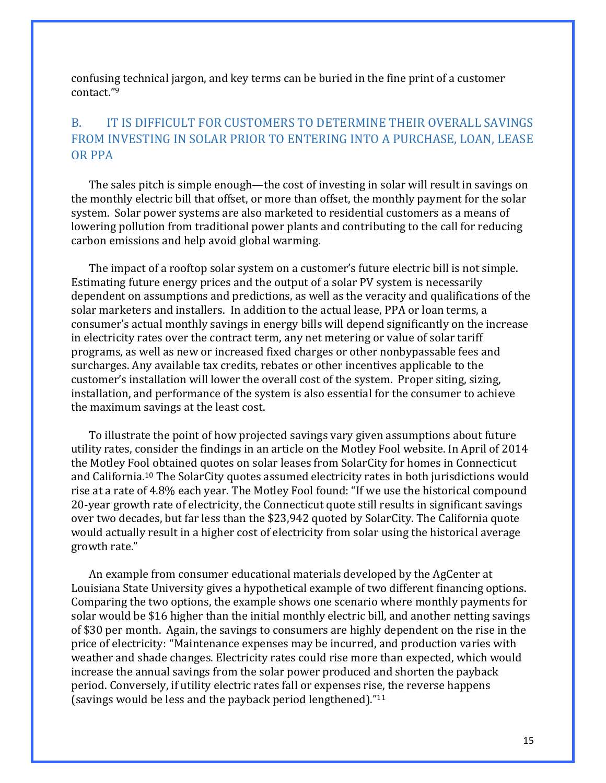confusing technical jargon, and key terms can be buried in the fine print of a customer contact."9

# B. IT IS DIFFICULT FOR CUSTOMERS TO DETERMINE THEIR OVERALL SAVINGS FROM INVESTING IN SOLAR PRIOR TO ENTERING INTO A PURCHASE, LOAN, LEASE OR PPA

The sales pitch is simple enough—the cost of investing in solar will result in savings on the monthly electric bill that offset, or more than offset, the monthly payment for the solar system. Solar power systems are also marketed to residential customers as a means of lowering pollution from traditional power plants and contributing to the call for reducing carbon emissions and help avoid global warming.

The impact of a rooftop solar system on a customer's future electric bill is not simple. Estimating future energy prices and the output of a solar PV system is necessarily dependent on assumptions and predictions, as well as the veracity and qualifications of the solar marketers and installers. In addition to the actual lease, PPA or loan terms, a consumer's actual monthly savings in energy bills will depend significantly on the increase in electricity rates over the contract term, any net metering or value of solar tariff programs, as well as new or increased fixed charges or other nonbypassable fees and surcharges. Any available tax credits, rebates or other incentives applicable to the customer's installation will lower the overall cost of the system. Proper siting, sizing, installation, and performance of the system is also essential for the consumer to achieve the maximum savings at the least cost.

To illustrate the point of how projected savings vary given assumptions about future utility rates, consider the findings in an article on the Motley Fool website. In April of 2014 the Motley Fool obtained quotes on solar leases from SolarCity for homes in Connecticut and California.<sup>10</sup> The SolarCity quotes assumed electricity rates in both jurisdictions would rise at a rate of 4.8% each year. The Motley Fool found: "If we use the historical compound 20-year growth rate of electricity, the Connecticut quote still results in significant savings over two decades, but far less than the \$23,942 quoted by SolarCity. The California quote would actually result in a higher cost of electricity from solar using the historical average growth rate."

An example from consumer educational materials developed by the AgCenter at Louisiana State University gives a hypothetical example of two different financing options. Comparing the two options, the example shows one scenario where monthly payments for solar would be \$16 higher than the initial monthly electric bill, and another netting savings of \$30 per month. Again, the savings to consumers are highly dependent on the rise in the price of electricity: "Maintenance expenses may be incurred, and production varies with weather and shade changes. Electricity rates could rise more than expected, which would increase the annual savings from the solar power produced and shorten the payback period. Conversely, if utility electric rates fall or expenses rise, the reverse happens (savings would be less and the payback period lengthened)." $11$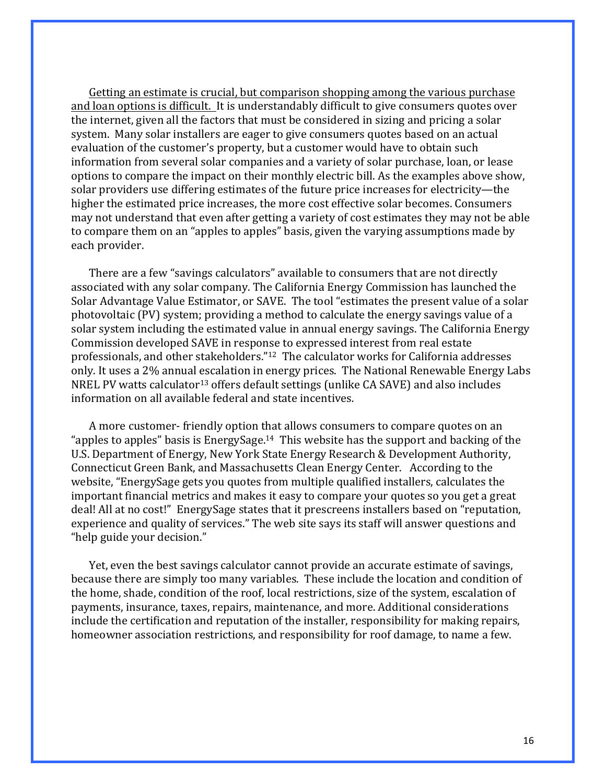Getting an estimate is crucial, but comparison shopping among the various purchase and loan options is difficult. It is understandably difficult to give consumers quotes over the internet, given all the factors that must be considered in sizing and pricing a solar system. Many solar installers are eager to give consumers quotes based on an actual evaluation of the customer's property, but a customer would have to obtain such information from several solar companies and a variety of solar purchase, loan, or lease options to compare the impact on their monthly electric bill. As the examples above show, solar providers use differing estimates of the future price increases for electricity—the higher the estimated price increases, the more cost effective solar becomes. Consumers may not understand that even after getting a variety of cost estimates they may not be able to compare them on an "apples to apples" basis, given the varying assumptions made by each provider.

There are a few "savings calculators" available to consumers that are not directly associated with any solar company. The California Energy Commission has launched the Solar Advantage Value Estimator, or SAVE. The tool "estimates the present value of a solar photovoltaic  $(PV)$  system; providing a method to calculate the energy savings value of a solar system including the estimated value in annual energy savings. The California Energy Commission developed SAVE in response to expressed interest from real estate professionals, and other stakeholders."<sup>12</sup> The calculator works for California addresses only. It uses a 2% annual escalation in energy prices. The National Renewable Energy Labs NREL PV watts calculator<sup>13</sup> offers default settings (unlike CA SAVE) and also includes information on all available federal and state incentives.

A more customer- friendly option that allows consumers to compare quotes on an "apples to apples" basis is EnergySage.<sup>14</sup> This website has the support and backing of the U.S. Department of Energy, New York State Energy Research & Development Authority, Connecticut Green Bank, and Massachusetts Clean Energy Center. According to the website, "EnergySage gets you quotes from multiple qualified installers, calculates the important financial metrics and makes it easy to compare your quotes so you get a great deal! All at no cost!" EnergySage states that it prescreens installers based on "reputation, experience and quality of services." The web site says its staff will answer questions and "help guide your decision."

Yet, even the best savings calculator cannot provide an accurate estimate of savings, because there are simply too many variables. These include the location and condition of the home, shade, condition of the roof, local restrictions, size of the system, escalation of payments, insurance, taxes, repairs, maintenance, and more. Additional considerations include the certification and reputation of the installer, responsibility for making repairs, homeowner association restrictions, and responsibility for roof damage, to name a few.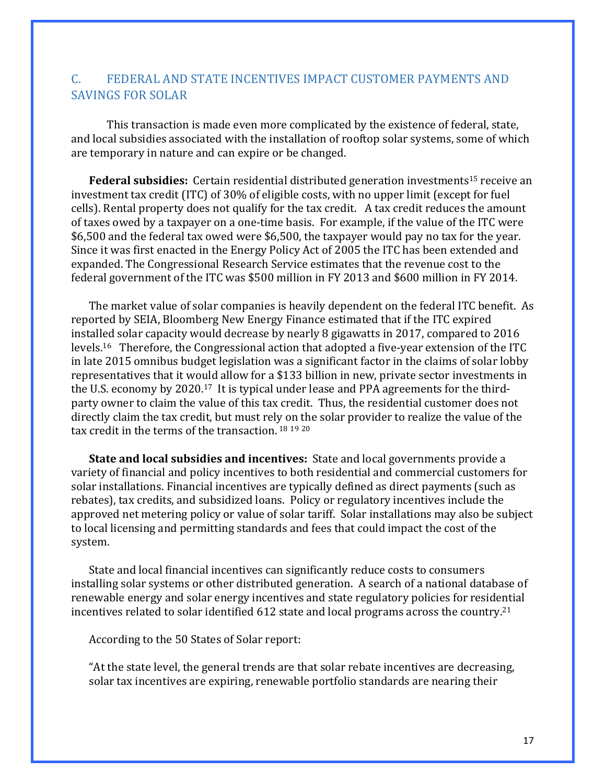## C. FEDERAL AND STATE INCENTIVES IMPACT CUSTOMER PAYMENTS AND SAVINGS FOR SOLAR

This transaction is made even more complicated by the existence of federal, state, and local subsidies associated with the installation of rooftop solar systems, some of which are temporary in nature and can expire or be changed.

**Federal subsidies:** Certain residential distributed generation investments<sup>15</sup> receive an investment tax credit (ITC) of 30% of eligible costs, with no upper limit (except for fuel cells). Rental property does not qualify for the tax credit. A tax credit reduces the amount of taxes owed by a taxpayer on a one-time basis. For example, if the value of the ITC were \$6,500 and the federal tax owed were \$6,500, the taxpayer would pay no tax for the year. Since it was first enacted in the Energy Policy Act of 2005 the ITC has been extended and expanded. The Congressional Research Service estimates that the revenue cost to the federal government of the ITC was \$500 million in FY 2013 and \$600 million in FY 2014.

The market value of solar companies is heavily dependent on the federal ITC benefit. As reported by SEIA, Bloomberg New Energy Finance estimated that if the ITC expired installed solar capacity would decrease by nearly 8 gigawatts in 2017, compared to 2016 levels.<sup>16</sup> Therefore, the Congressional action that adopted a five-year extension of the ITC in late 2015 omnibus budget legislation was a significant factor in the claims of solar lobby representatives that it would allow for a \$133 billion in new, private sector investments in the U.S. economy by 2020.<sup>17</sup> It is typical under lease and PPA agreements for the thirdparty owner to claim the value of this tax credit. Thus, the residential customer does not directly claim the tax credit, but must rely on the solar provider to realize the value of the tax credit in the terms of the transaction.  $18\ 19\ 20$ 

**State and local subsidies and incentives:** State and local governments provide a variety of financial and policy incentives to both residential and commercial customers for solar installations. Financial incentives are typically defined as direct payments (such as rebates), tax credits, and subsidized loans. Policy or regulatory incentives include the approved net metering policy or value of solar tariff. Solar installations may also be subject to local licensing and permitting standards and fees that could impact the cost of the system. 

State and local financial incentives can significantly reduce costs to consumers installing solar systems or other distributed generation. A search of a national database of renewable energy and solar energy incentives and state regulatory policies for residential incentives related to solar identified  $612$  state and local programs across the country.<sup>21</sup>

According to the 50 States of Solar report:

"At the state level, the general trends are that solar rebate incentives are decreasing, solar tax incentives are expiring, renewable portfolio standards are nearing their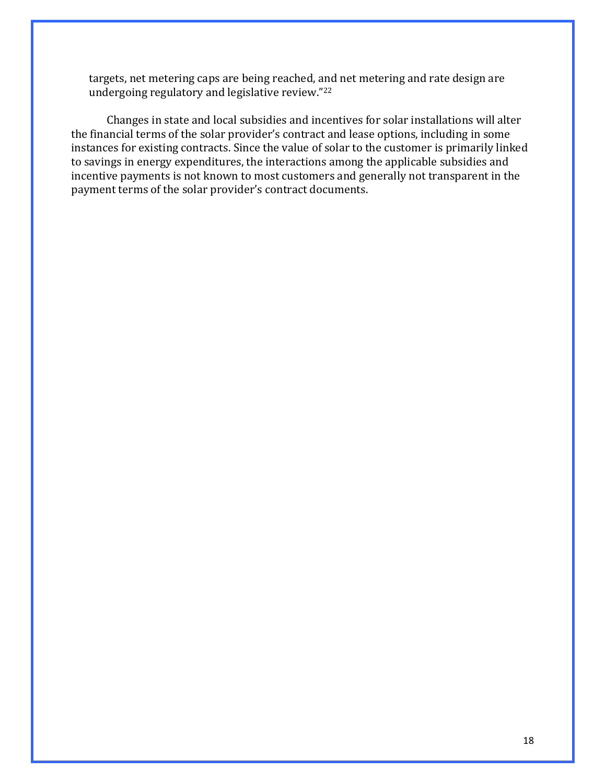targets, net metering caps are being reached, and net metering and rate design are undergoing regulatory and legislative review."<sup>22</sup>

Changes in state and local subsidies and incentives for solar installations will alter the financial terms of the solar provider's contract and lease options, including in some instances for existing contracts. Since the value of solar to the customer is primarily linked to savings in energy expenditures, the interactions among the applicable subsidies and incentive payments is not known to most customers and generally not transparent in the payment terms of the solar provider's contract documents.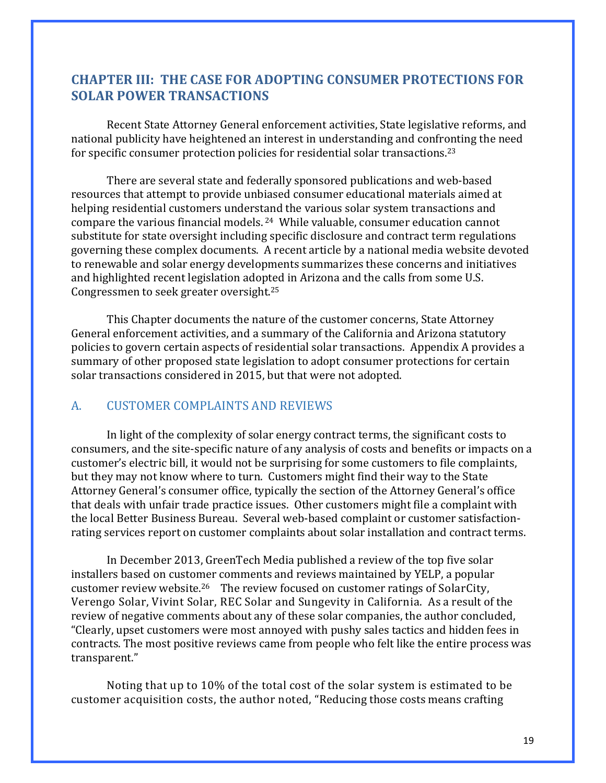## **CHAPTER III: THE CASE FOR ADOPTING CONSUMER PROTECTIONS FOR SOLAR POWER TRANSACTIONS**

Recent State Attorney General enforcement activities, State legislative reforms, and national publicity have heightened an interest in understanding and confronting the need for specific consumer protection policies for residential solar transactions.<sup>23</sup>

There are several state and federally sponsored publications and web-based resources that attempt to provide unbiased consumer educational materials aimed at helping residential customers understand the various solar system transactions and compare the various financial models.  $24$  While valuable, consumer education cannot substitute for state oversight including specific disclosure and contract term regulations governing these complex documents. A recent article by a national media website devoted to renewable and solar energy developments summarizes these concerns and initiatives and highlighted recent legislation adopted in Arizona and the calls from some U.S. Congressmen to seek greater oversight.<sup>25</sup>

This Chapter documents the nature of the customer concerns, State Attorney General enforcement activities, and a summary of the California and Arizona statutory policies to govern certain aspects of residential solar transactions. Appendix A provides a summary of other proposed state legislation to adopt consumer protections for certain solar transactions considered in 2015, but that were not adopted.

#### A. CUSTOMER COMPLAINTS AND REVIEWS

In light of the complexity of solar energy contract terms, the significant costs to consumers, and the site-specific nature of any analysis of costs and benefits or impacts on a customer's electric bill, it would not be surprising for some customers to file complaints, but they may not know where to turn. Customers might find their way to the State Attorney General's consumer office, typically the section of the Attorney General's office that deals with unfair trade practice issues. Other customers might file a complaint with the local Better Business Bureau. Several web-based complaint or customer satisfactionrating services report on customer complaints about solar installation and contract terms.

In December 2013, GreenTech Media published a review of the top five solar installers based on customer comments and reviews maintained by YELP, a popular customer review website.<sup>26</sup> The review focused on customer ratings of SolarCity, Verengo Solar, Vivint Solar, REC Solar and Sungevity in California. As a result of the review of negative comments about any of these solar companies, the author concluded, "Clearly, upset customers were most annoyed with pushy sales tactics and hidden fees in contracts. The most positive reviews came from people who felt like the entire process was transparent." 

Noting that up to 10% of the total cost of the solar system is estimated to be customer acquisition costs, the author noted, "Reducing those costs means crafting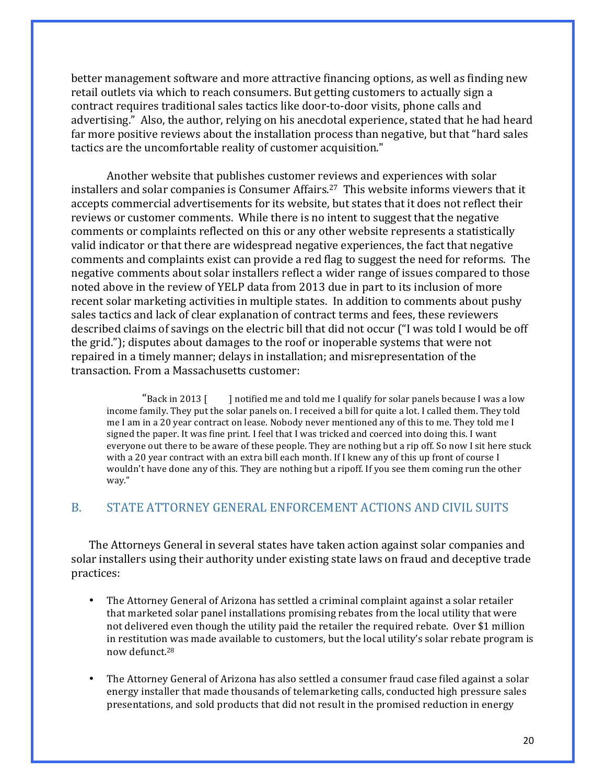better management software and more attractive financing options, as well as finding new retail outlets via which to reach consumers. But getting customers to actually sign a contract requires traditional sales tactics like door-to-door visits, phone calls and advertising." Also, the author, relying on his anecdotal experience, stated that he had heard far more positive reviews about the installation process than negative, but that "hard sales" tactics are the uncomfortable reality of customer acquisition."

Another website that publishes customer reviews and experiences with solar installers and solar companies is Consumer Affairs.<sup>27</sup> This website informs viewers that it accepts commercial advertisements for its website, but states that it does not reflect their reviews or customer comments. While there is no intent to suggest that the negative comments or complaints reflected on this or any other website represents a statistically valid indicator or that there are widespread negative experiences, the fact that negative comments and complaints exist can provide a red flag to suggest the need for reforms. The negative comments about solar installers reflect a wider range of issues compared to those noted above in the review of YELP data from 2013 due in part to its inclusion of more recent solar marketing activities in multiple states. In addition to comments about pushy sales tactics and lack of clear explanation of contract terms and fees, these reviewers described claims of savings on the electric bill that did not occur ("I was told I would be off the grid."); disputes about damages to the roof or inoperable systems that were not repaired in a timely manner; delays in installation; and misrepresentation of the transaction. From a Massachusetts customer:

"Back in 2013  $\lceil$  l notified me and told me I qualify for solar panels because I was a low income family. They put the solar panels on. I received a bill for quite a lot. I called them. They told me I am in a 20 year contract on lease. Nobody never mentioned any of this to me. They told me I signed the paper. It was fine print. I feel that I was tricked and coerced into doing this. I want everyone out there to be aware of these people. They are nothing but a rip off. So now I sit here stuck with a 20 year contract with an extra bill each month. If I knew any of this up front of course I wouldn't have done any of this. They are nothing but a ripoff. If you see them coming run the other way."

#### B. STATE ATTORNEY GENERAL ENFORCEMENT ACTIONS AND CIVIL SUITS

The Attorneys General in several states have taken action against solar companies and solar installers using their authority under existing state laws on fraud and deceptive trade practices:

- The Attorney General of Arizona has settled a criminal complaint against a solar retailer that marketed solar panel installations promising rebates from the local utility that were not delivered even though the utility paid the retailer the required rebate. Over \$1 million in restitution was made available to customers, but the local utility's solar rebate program is now defunct.28
- The Attorney General of Arizona has also settled a consumer fraud case filed against a solar energy installer that made thousands of telemarketing calls, conducted high pressure sales presentations, and sold products that did not result in the promised reduction in energy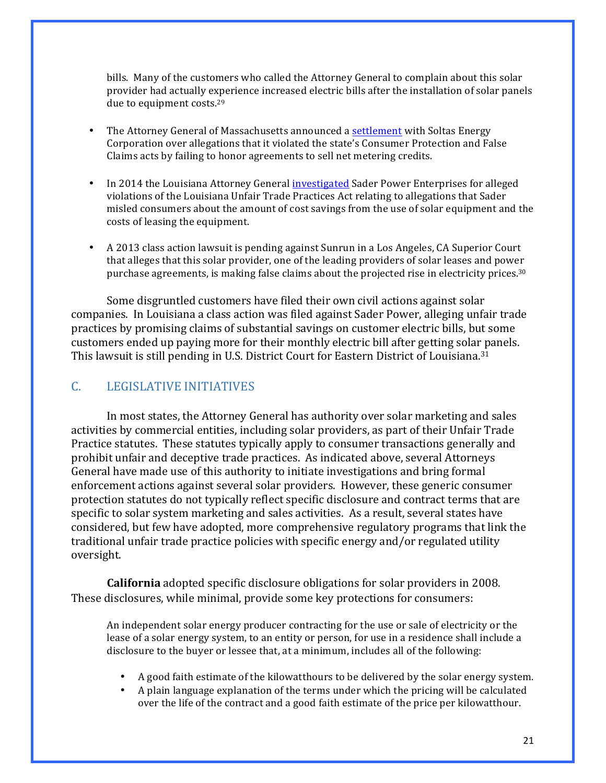bills. Many of the customers who called the Attorney General to complain about this solar provider had actually experience increased electric bills after the installation of solar panels due to equipment costs.<sup>29</sup>

- The Attorney General of Massachusetts announced a settlement with Soltas Energy Corporation over allegations that it violated the state's Consumer Protection and False Claims acts by failing to honor agreements to sell net metering credits.
- In 2014 the Louisiana Attorney General investigated Sader Power Enterprises for alleged violations of the Louisiana Unfair Trade Practices Act relating to allegations that Sader misled consumers about the amount of cost savings from the use of solar equipment and the costs of leasing the equipment.
- A 2013 class action lawsuit is pending against Sunrun in a Los Angeles, CA Superior Court that alleges that this solar provider, one of the leading providers of solar leases and power purchase agreements, is making false claims about the projected rise in electricity prices.<sup>30</sup>

Some disgruntled customers have filed their own civil actions against solar companies. In Louisiana a class action was filed against Sader Power, alleging unfair trade practices by promising claims of substantial savings on customer electric bills, but some customers ended up paying more for their monthly electric bill after getting solar panels. This lawsuit is still pending in U.S. District Court for Eastern District of Louisiana.<sup>31</sup>

#### C. LEGISLATIVE INITIATIVES

In most states, the Attorney General has authority over solar marketing and sales activities by commercial entities, including solar providers, as part of their Unfair Trade Practice statutes. These statutes typically apply to consumer transactions generally and prohibit unfair and deceptive trade practices. As indicated above, several Attorneys General have made use of this authority to initiate investigations and bring formal enforcement actions against several solar providers. However, these generic consumer protection statutes do not typically reflect specific disclosure and contract terms that are specific to solar system marketing and sales activities. As a result, several states have considered, but few have adopted, more comprehensive regulatory programs that link the traditional unfair trade practice policies with specific energy and/or regulated utility oversight.

**California** adopted specific disclosure obligations for solar providers in 2008. These disclosures, while minimal, provide some key protections for consumers:

An independent solar energy producer contracting for the use or sale of electricity or the lease of a solar energy system, to an entity or person, for use in a residence shall include a disclosure to the buyer or lessee that, at a minimum, includes all of the following:

- A good faith estimate of the kilowatthours to be delivered by the solar energy system.
- A plain language explanation of the terms under which the pricing will be calculated over the life of the contract and a good faith estimate of the price per kilowatthour.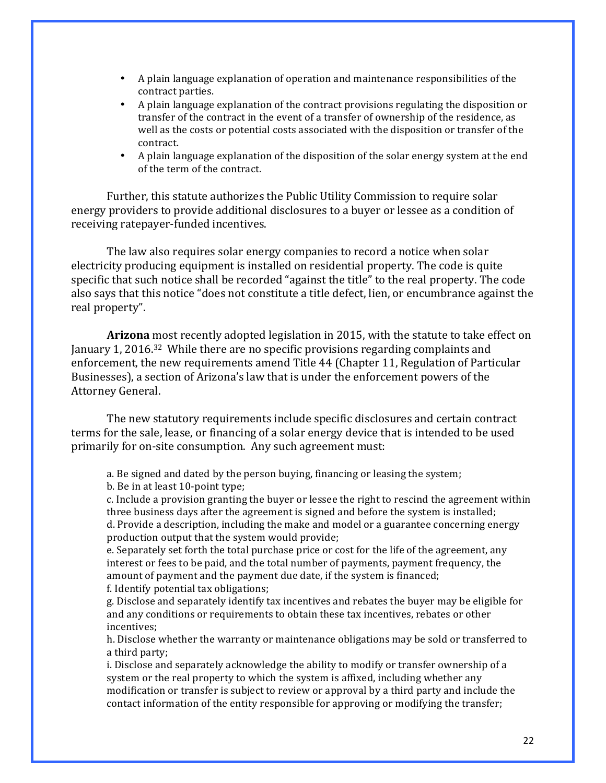- A plain language explanation of operation and maintenance responsibilities of the contract parties.
- A plain language explanation of the contract provisions regulating the disposition or transfer of the contract in the event of a transfer of ownership of the residence, as well as the costs or potential costs associated with the disposition or transfer of the contract.
- A plain language explanation of the disposition of the solar energy system at the end of the term of the contract.

Further, this statute authorizes the Public Utility Commission to require solar energy providers to provide additional disclosures to a buyer or lessee as a condition of receiving ratepayer-funded incentives.

The law also requires solar energy companies to record a notice when solar electricity producing equipment is installed on residential property. The code is quite specific that such notice shall be recorded "against the title" to the real property. The code also says that this notice "does not constitute a title defect, lien, or encumbrance against the real property".

**Arizona** most recently adopted legislation in 2015, with the statute to take effect on January 1, 2016.<sup>32</sup> While there are no specific provisions regarding complaints and enforcement, the new requirements amend Title 44 (Chapter 11, Regulation of Particular Businesses), a section of Arizona's law that is under the enforcement powers of the Attorney General. 

The new statutory requirements include specific disclosures and certain contract terms for the sale, lease, or financing of a solar energy device that is intended to be used primarily for on-site consumption. Any such agreement must:

a. Be signed and dated by the person buying, financing or leasing the system; b. Be in at least 10-point type;

c. Include a provision granting the buyer or lessee the right to rescind the agreement within three business days after the agreement is signed and before the system is installed; d. Provide a description, including the make and model or a guarantee concerning energy production output that the system would provide;

e. Separately set forth the total purchase price or cost for the life of the agreement, any interest or fees to be paid, and the total number of payments, payment frequency, the amount of payment and the payment due date, if the system is financed; f. Identify potential tax obligations;

g. Disclose and separately identify tax incentives and rebates the buyer may be eligible for and any conditions or requirements to obtain these tax incentives, rebates or other incentives;

h. Disclose whether the warranty or maintenance obligations may be sold or transferred to a third party;

i. Disclose and separately acknowledge the ability to modify or transfer ownership of a system or the real property to which the system is affixed, including whether any modification or transfer is subject to review or approval by a third party and include the contact information of the entity responsible for approving or modifying the transfer;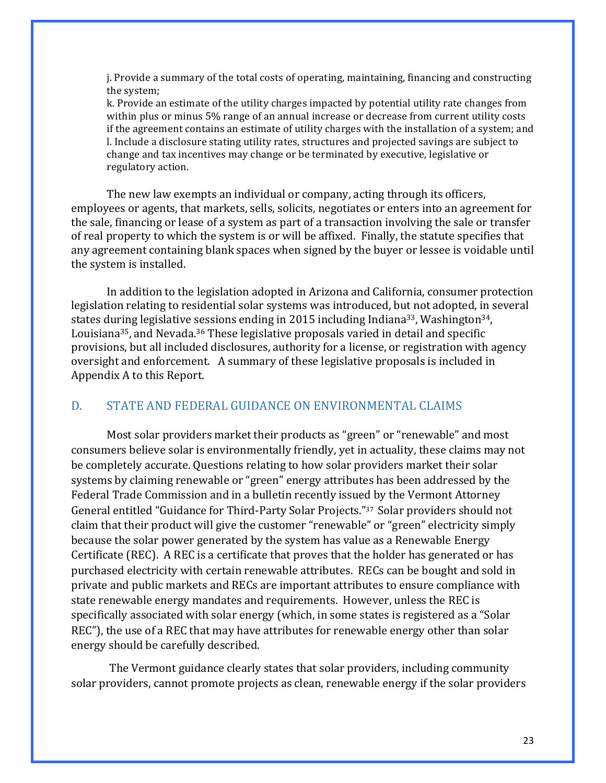j. Provide a summary of the total costs of operating, maintaining, financing and constructing the system;

k. Provide an estimate of the utility charges impacted by potential utility rate changes from within plus or minus 5% range of an annual increase or decrease from current utility costs if the agreement contains an estimate of utility charges with the installation of a system; and l. Include a disclosure stating utility rates, structures and projected savings are subject to change and tax incentives may change or be terminated by executive, legislative or regulatory action.

The new law exempts an individual or company, acting through its officers, employees or agents, that markets, sells, solicits, negotiates or enters into an agreement for the sale, financing or lease of a system as part of a transaction involving the sale or transfer of real property to which the system is or will be affixed. Finally, the statute specifies that any agreement containing blank spaces when signed by the buyer or lessee is voidable until the system is installed.

In addition to the legislation adopted in Arizona and California, consumer protection legislation relating to residential solar systems was introduced, but not adopted, in several states during legislative sessions ending in 2015 including Indiana<sup>33</sup>, Washington<sup>34</sup>, Louisiana<sup>35</sup>, and Nevada.<sup>36</sup> These legislative proposals varied in detail and specific provisions, but all included disclosures, authority for a license, or registration with agency oversight and enforcement. A summary of these legislative proposals is included in Appendix A to this Report.

#### D. STATE AND FEDERAL GUIDANCE ON ENVIRONMENTAL CLAIMS

Most solar providers market their products as "green" or "renewable" and most consumers believe solar is environmentally friendly, yet in actuality, these claims may not be completely accurate. Questions relating to how solar providers market their solar systems by claiming renewable or "green" energy attributes has been addressed by the Federal Trade Commission and in a bulletin recently issued by the Vermont Attorney General entitled "Guidance for Third-Party Solar Projects."<sup>37</sup> Solar providers should not claim that their product will give the customer "renewable" or "green" electricity simply because the solar power generated by the system has value as a Renewable Energy Certificate (REC). A REC is a certificate that proves that the holder has generated or has purchased electricity with certain renewable attributes. RECs can be bought and sold in private and public markets and RECs are important attributes to ensure compliance with state renewable energy mandates and requirements. However, unless the REC is specifically associated with solar energy (which, in some states is registered as a "Solar REC"), the use of a REC that may have attributes for renewable energy other than solar energy should be carefully described.

The Vermont guidance clearly states that solar providers, including community solar providers, cannot promote projects as clean, renewable energy if the solar providers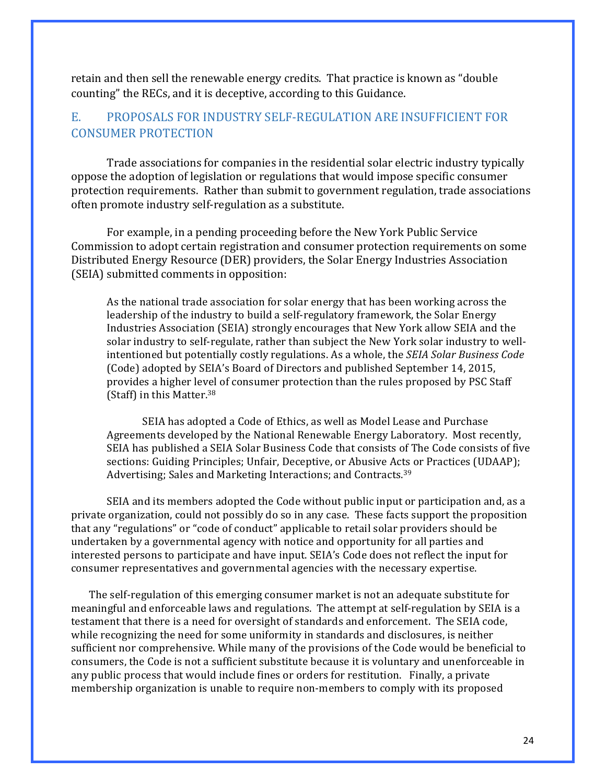retain and then sell the renewable energy credits. That practice is known as "double" counting" the RECs, and it is deceptive, according to this Guidance.

### E. PROPOSALS FOR INDUSTRY SELF-REGULATION ARE INSUFFICIENT FOR CONSUMER PROTECTION

Trade associations for companies in the residential solar electric industry typically oppose the adoption of legislation or regulations that would impose specific consumer protection requirements. Rather than submit to government regulation, trade associations often promote industry self-regulation as a substitute.

For example, in a pending proceeding before the New York Public Service Commission to adopt certain registration and consumer protection requirements on some Distributed Energy Resource (DER) providers, the Solar Energy Industries Association (SEIA) submitted comments in opposition:

As the national trade association for solar energy that has been working across the leadership of the industry to build a self-regulatory framework, the Solar Energy Industries Association (SEIA) strongly encourages that New York allow SEIA and the solar industry to self-regulate, rather than subject the New York solar industry to wellintentioned but potentially costly regulations. As a whole, the *SEIA Solar Business Code* (Code) adopted by SEIA's Board of Directors and published September 14, 2015, provides a higher level of consumer protection than the rules proposed by PSC Staff (Staff) in this Matter. $38$ 

SEIA has adopted a Code of Ethics, as well as Model Lease and Purchase Agreements developed by the National Renewable Energy Laboratory. Most recently, SEIA has published a SEIA Solar Business Code that consists of The Code consists of five sections: Guiding Principles; Unfair, Deceptive, or Abusive Acts or Practices (UDAAP); Advertising; Sales and Marketing Interactions; and Contracts.<sup>39</sup>

SEIA and its members adopted the Code without public input or participation and, as a private organization, could not possibly do so in any case. These facts support the proposition that any "regulations" or "code of conduct" applicable to retail solar providers should be undertaken by a governmental agency with notice and opportunity for all parties and interested persons to participate and have input. SEIA's Code does not reflect the input for consumer representatives and governmental agencies with the necessary expertise.

The self-regulation of this emerging consumer market is not an adequate substitute for meaningful and enforceable laws and regulations. The attempt at self-regulation by SEIA is a testament that there is a need for oversight of standards and enforcement. The SEIA code, while recognizing the need for some uniformity in standards and disclosures, is neither sufficient nor comprehensive. While many of the provisions of the Code would be beneficial to consumers, the Code is not a sufficient substitute because it is voluntary and unenforceable in any public process that would include fines or orders for restitution. Finally, a private membership organization is unable to require non-members to comply with its proposed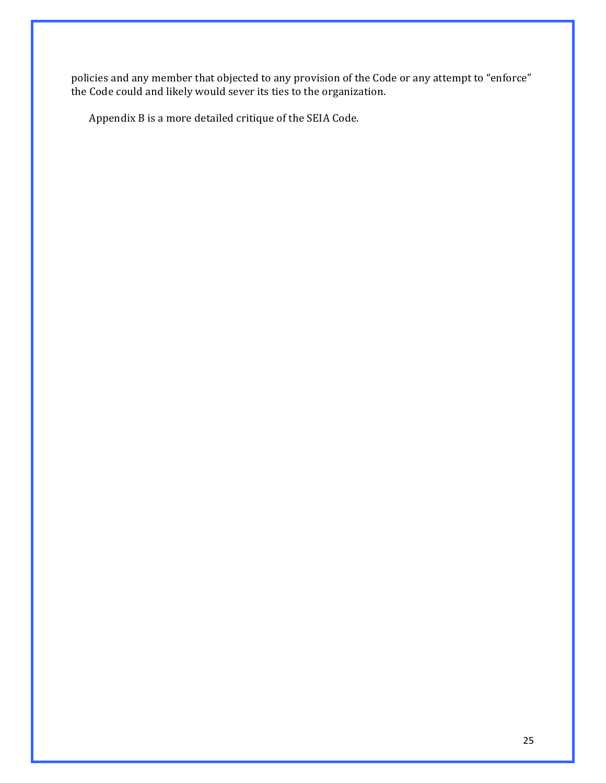policies and any member that objected to any provision of the Code or any attempt to "enforce" the Code could and likely would sever its ties to the organization.

Appendix B is a more detailed critique of the SEIA Code.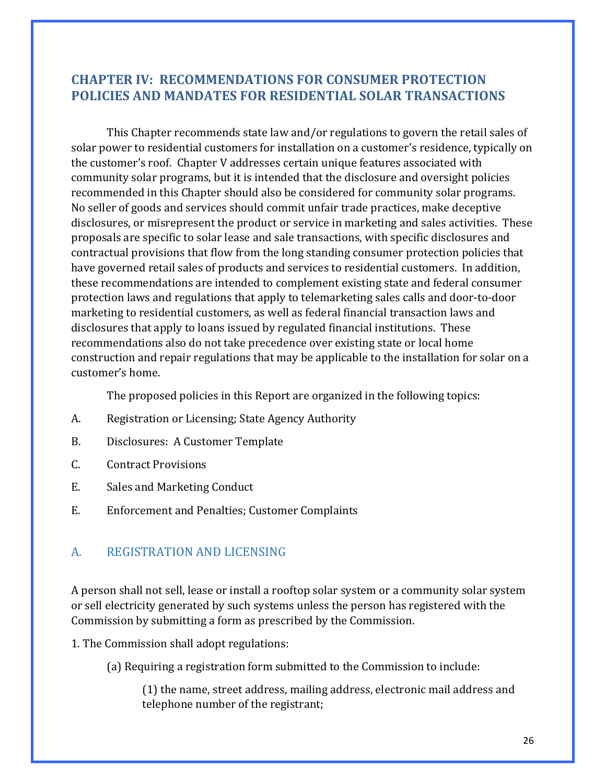# **CHAPTER IV: RECOMMENDATIONS FOR CONSUMER PROTECTION POLICIES AND MANDATES FOR RESIDENTIAL SOLAR TRANSACTIONS**

This Chapter recommends state law and/or regulations to govern the retail sales of solar power to residential customers for installation on a customer's residence, typically on the customer's roof. Chapter V addresses certain unique features associated with community solar programs, but it is intended that the disclosure and oversight policies recommended in this Chapter should also be considered for community solar programs. No seller of goods and services should commit unfair trade practices, make deceptive disclosures, or misrepresent the product or service in marketing and sales activities. These proposals are specific to solar lease and sale transactions, with specific disclosures and contractual provisions that flow from the long standing consumer protection policies that have governed retail sales of products and services to residential customers. In addition, these recommendations are intended to complement existing state and federal consumer protection laws and regulations that apply to telemarketing sales calls and door-to-door marketing to residential customers, as well as federal financial transaction laws and disclosures that apply to loans issued by regulated financial institutions. These recommendations also do not take precedence over existing state or local home construction and repair regulations that may be applicable to the installation for solar on a customer's home.

The proposed policies in this Report are organized in the following topics:

- A. Registration or Licensing; State Agency Authority
- B. Disclosures: A Customer Template
- C. Contract Provisions
- E. Sales and Marketing Conduct
- E. Enforcement and Penalties; Customer Complaints

#### A. REGISTRATION AND LICENSING

A person shall not sell, lease or install a rooftop solar system or a community solar system or sell electricity generated by such systems unless the person has registered with the Commission by submitting a form as prescribed by the Commission.

- 1. The Commission shall adopt regulations:
	- (a) Requiring a registration form submitted to the Commission to include:

(1) the name, street address, mailing address, electronic mail address and telephone number of the registrant;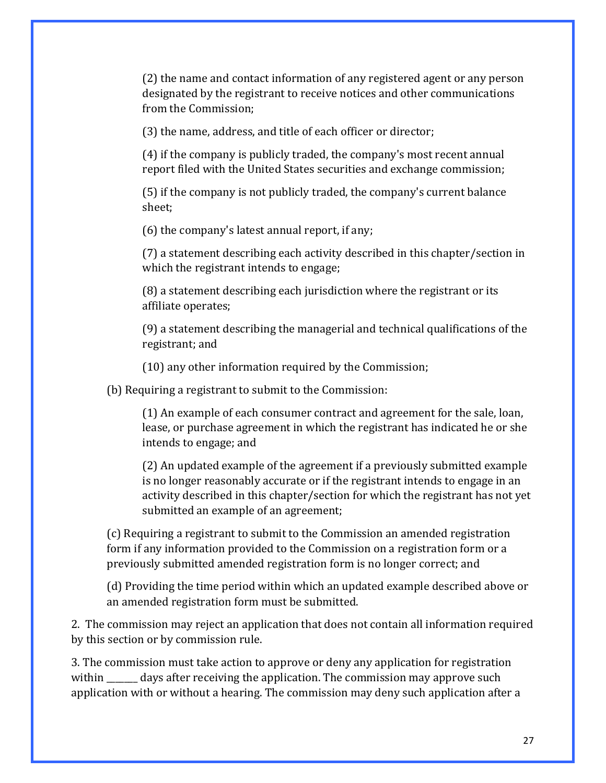(2) the name and contact information of any registered agent or any person designated by the registrant to receive notices and other communications from the Commission;

(3) the name, address, and title of each officer or director;

 $(4)$  if the company is publicly traded, the company's most recent annual report filed with the United States securities and exchange commission;

(5) if the company is not publicly traded, the company's current balance sheet; 

 $(6)$  the company's latest annual report, if any;

(7) a statement describing each activity described in this chapter/section in which the registrant intends to engage;

 $(8)$  a statement describing each jurisdiction where the registrant or its affiliate operates;

(9) a statement describing the managerial and technical qualifications of the registrant; and

 $(10)$  any other information required by the Commission;

(b) Requiring a registrant to submit to the Commission:

(1) An example of each consumer contract and agreement for the sale, loan, lease, or purchase agreement in which the registrant has indicated he or she intends to engage; and

(2) An updated example of the agreement if a previously submitted example is no longer reasonably accurate or if the registrant intends to engage in an activity described in this chapter/section for which the registrant has not vet submitted an example of an agreement;

(c) Requiring a registrant to submit to the Commission an amended registration form if any information provided to the Commission on a registration form or a previously submitted amended registration form is no longer correct; and

(d) Providing the time period within which an updated example described above or an amended registration form must be submitted.

2. The commission may reject an application that does not contain all information required by this section or by commission rule.

3. The commission must take action to approve or deny any application for registration within \_\_\_\_\_\_\_ days after receiving the application. The commission may approve such application with or without a hearing. The commission may deny such application after a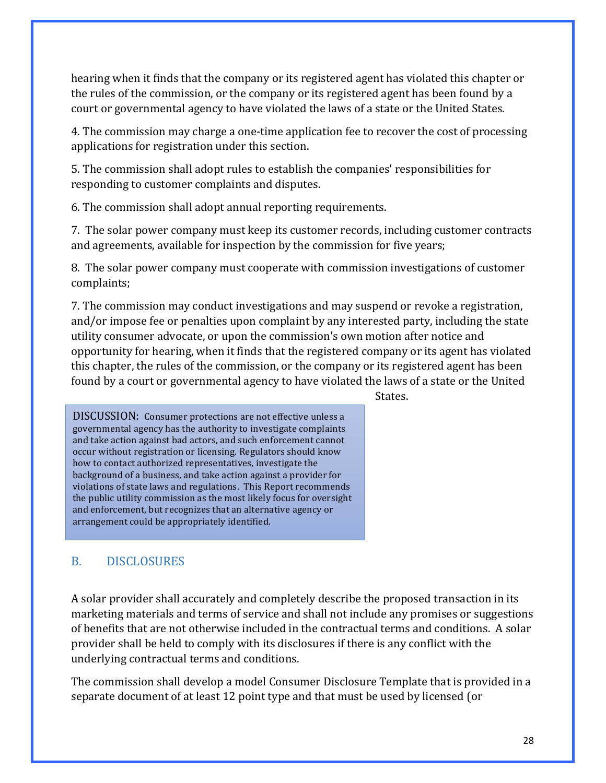hearing when it finds that the company or its registered agent has violated this chapter or the rules of the commission, or the company or its registered agent has been found by a court or governmental agency to have violated the laws of a state or the United States.

4. The commission may charge a one-time application fee to recover the cost of processing applications for registration under this section.

5. The commission shall adopt rules to establish the companies' responsibilities for responding to customer complaints and disputes.

6. The commission shall adopt annual reporting requirements.

7. The solar power company must keep its customer records, including customer contracts and agreements, available for inspection by the commission for five years;

8. The solar power company must cooperate with commission investigations of customer complaints;

7. The commission may conduct investigations and may suspend or revoke a registration, and/or impose fee or penalties upon complaint by any interested party, including the state utility consumer advocate, or upon the commission's own motion after notice and opportunity for hearing, when it finds that the registered company or its agent has violated this chapter, the rules of the commission, or the company or its registered agent has been found by a court or governmental agency to have violated the laws of a state or the United

States.

DISCUSSION: Consumer protections are not effective unless a governmental agency has the authority to investigate complaints and take action against bad actors, and such enforcement cannot occur without registration or licensing. Regulators should know how to contact authorized representatives, investigate the background of a business, and take action against a provider for violations of state laws and regulations. This Report recommends the public utility commission as the most likely focus for oversight and enforcement, but recognizes that an alternative agency or arrangement could be appropriately identified.

# B. DISCLOSURES

A solar provider shall accurately and completely describe the proposed transaction in its marketing materials and terms of service and shall not include any promises or suggestions of benefits that are not otherwise included in the contractual terms and conditions. A solar provider shall be held to comply with its disclosures if there is any conflict with the underlying contractual terms and conditions.

The commission shall develop a model Consumer Disclosure Template that is provided in a separate document of at least 12 point type and that must be used by licensed (or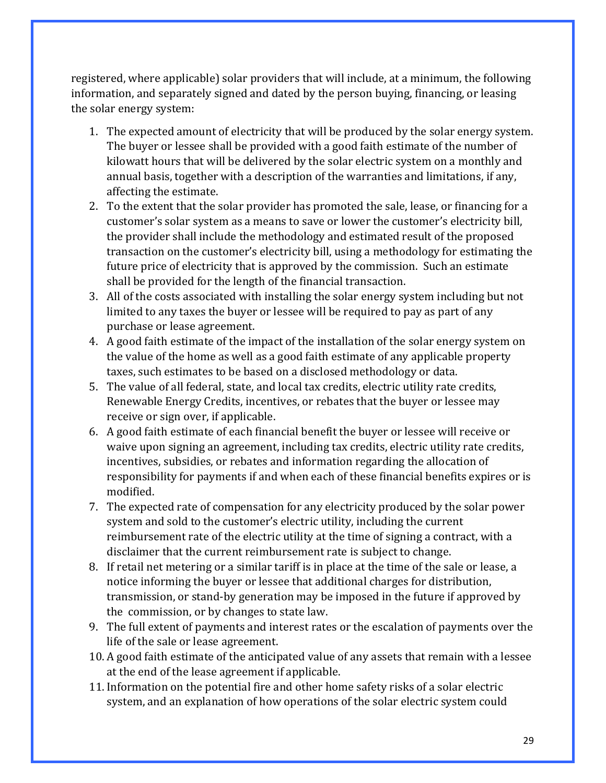registered, where applicable) solar providers that will include, at a minimum, the following information, and separately signed and dated by the person buying, financing, or leasing the solar energy system:

- 1. The expected amount of electricity that will be produced by the solar energy system. The buyer or lessee shall be provided with a good faith estimate of the number of kilowatt hours that will be delivered by the solar electric system on a monthly and annual basis, together with a description of the warranties and limitations, if any, affecting the estimate.
- 2. To the extent that the solar provider has promoted the sale, lease, or financing for a customer's solar system as a means to save or lower the customer's electricity bill, the provider shall include the methodology and estimated result of the proposed transaction on the customer's electricity bill, using a methodology for estimating the future price of electricity that is approved by the commission. Such an estimate shall be provided for the length of the financial transaction.
- 3. All of the costs associated with installing the solar energy system including but not limited to any taxes the buyer or lessee will be required to pay as part of any purchase or lease agreement.
- 4. A good faith estimate of the impact of the installation of the solar energy system on the value of the home as well as a good faith estimate of any applicable property taxes, such estimates to be based on a disclosed methodology or data.
- 5. The value of all federal, state, and local tax credits, electric utility rate credits, Renewable Energy Credits, incentives, or rebates that the buyer or lessee may receive or sign over, if applicable.
- 6. A good faith estimate of each financial benefit the buyer or lessee will receive or waive upon signing an agreement, including tax credits, electric utility rate credits, incentives, subsidies, or rebates and information regarding the allocation of responsibility for payments if and when each of these financial benefits expires or is modified.
- 7. The expected rate of compensation for any electricity produced by the solar power system and sold to the customer's electric utility, including the current reimbursement rate of the electric utility at the time of signing a contract, with a disclaimer that the current reimbursement rate is subject to change.
- 8. If retail net metering or a similar tariff is in place at the time of the sale or lease, a notice informing the buyer or lessee that additional charges for distribution, transmission, or stand-by generation may be imposed in the future if approved by the commission, or by changes to state law.
- 9. The full extent of payments and interest rates or the escalation of payments over the life of the sale or lease agreement.
- 10. A good faith estimate of the anticipated value of any assets that remain with a lessee at the end of the lease agreement if applicable.
- 11. Information on the potential fire and other home safety risks of a solar electric system, and an explanation of how operations of the solar electric system could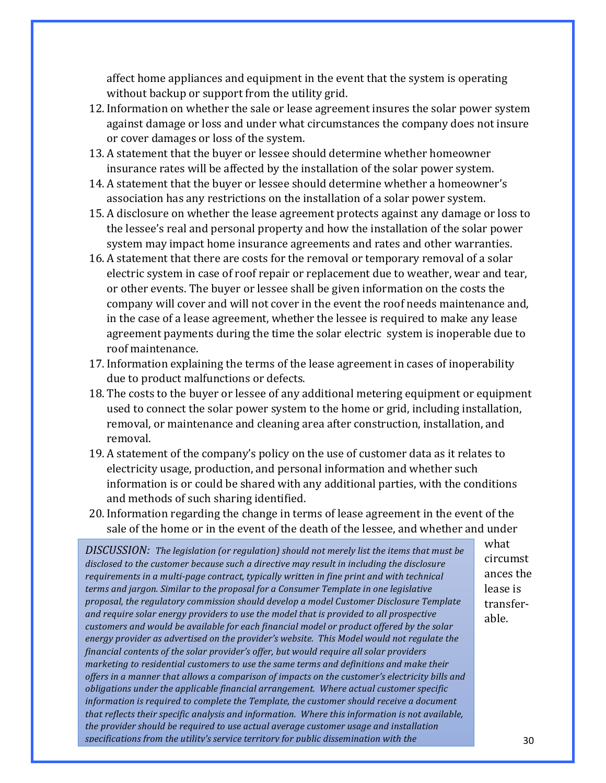affect home appliances and equipment in the event that the system is operating without backup or support from the utility grid.

- 12. Information on whether the sale or lease agreement insures the solar power system against damage or loss and under what circumstances the company does not insure or cover damages or loss of the system.
- 13. A statement that the buyer or lessee should determine whether homeowner insurance rates will be affected by the installation of the solar power system.
- 14. A statement that the buyer or lessee should determine whether a homeowner's association has any restrictions on the installation of a solar power system.
- 15. A disclosure on whether the lease agreement protects against any damage or loss to the lessee's real and personal property and how the installation of the solar power system may impact home insurance agreements and rates and other warranties.
- 16. A statement that there are costs for the removal or temporary removal of a solar electric system in case of roof repair or replacement due to weather, wear and tear, or other events. The buyer or lessee shall be given information on the costs the company will cover and will not cover in the event the roof needs maintenance and, in the case of a lease agreement, whether the lessee is required to make any lease agreement payments during the time the solar electric system is inoperable due to roof maintenance.
- 17. Information explaining the terms of the lease agreement in cases of inoperability due to product malfunctions or defects.
- 18. The costs to the buyer or lessee of any additional metering equipment or equipment used to connect the solar power system to the home or grid, including installation, removal, or maintenance and cleaning area after construction, installation, and removal.
- 19. A statement of the company's policy on the use of customer data as it relates to electricity usage, production, and personal information and whether such information is or could be shared with any additional parties, with the conditions and methods of such sharing identified.
- 20. Information regarding the change in terms of lease agreement in the event of the sale of the home or in the event of the death of the lessee, and whether and under

*DISCUSSION:* The legislation (or regulation) should not merely list the items that must be disclosed to the customer because such a directive may result in including the disclosure *requirements in a multi-page contract, typically written in fine print and with technical* terms and jargon. Similar to the proposal for a Consumer Template in one legislative proposal, the regulatory commission should develop a model Customer Disclosure Template and require solar energy providers to use the model that is provided to all prospective *customers* and would be available for each financial model or product offered by the solar energy provider as advertised on the provider's website. This Model would not regulate the financial contents of the solar provider's offer, but would require all solar providers *marketing* to residential customers to use the same terms and definitions and make their offers in a manner that allows a comparison of impacts on the customer's electricity bills and *obligations* under the applicable financial arrangement. Where actual customer specific *information is required to complete the Template, the customer should receive a document that reflects their specific analysis and information. Where this information is not available,* the provider should be required to use actual average customer usage and installation specifications from the utility's service territory for public dissemination with the

what circumst ances the lease is transferable.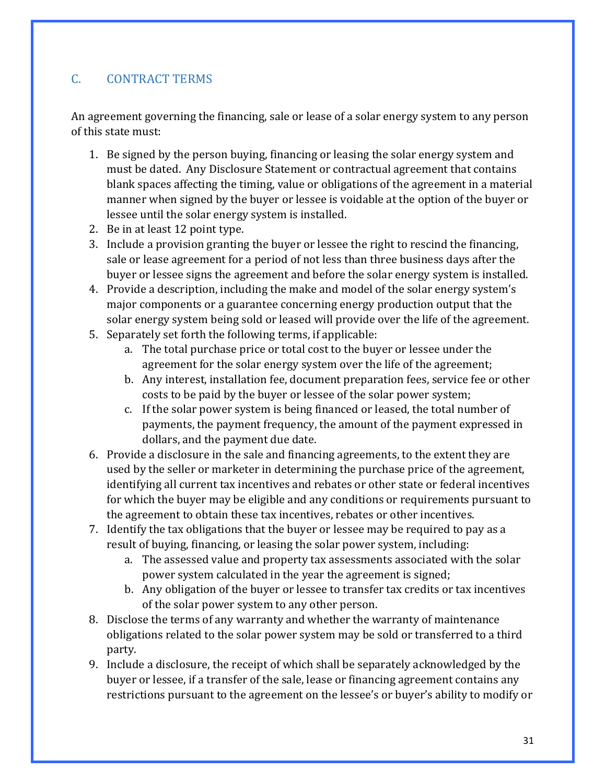# C. CONTRACT TERMS

An agreement governing the financing, sale or lease of a solar energy system to any person of this state must:

- 1. Be signed by the person buying, financing or leasing the solar energy system and must be dated. Any Disclosure Statement or contractual agreement that contains blank spaces affecting the timing, value or obligations of the agreement in a material manner when signed by the buyer or lessee is voidable at the option of the buyer or lessee until the solar energy system is installed.
- 2. Be in at least 12 point type.
- 3. Include a provision granting the buyer or lessee the right to rescind the financing, sale or lease agreement for a period of not less than three business days after the buyer or lessee signs the agreement and before the solar energy system is installed.
- 4. Provide a description, including the make and model of the solar energy system's major components or a guarantee concerning energy production output that the solar energy system being sold or leased will provide over the life of the agreement.
- 5. Separately set forth the following terms, if applicable:
	- a. The total purchase price or total cost to the buyer or lessee under the agreement for the solar energy system over the life of the agreement;
	- b. Any interest, installation fee, document preparation fees, service fee or other costs to be paid by the buyer or lessee of the solar power system;
	- c. If the solar power system is being financed or leased, the total number of payments, the payment frequency, the amount of the payment expressed in dollars, and the payment due date.
- 6. Provide a disclosure in the sale and financing agreements, to the extent they are used by the seller or marketer in determining the purchase price of the agreement, identifying all current tax incentives and rebates or other state or federal incentives for which the buyer may be eligible and any conditions or requirements pursuant to the agreement to obtain these tax incentives, rebates or other incentives.
- 7. Identify the tax obligations that the buyer or lessee may be required to pay as a result of buying, financing, or leasing the solar power system, including:
	- a. The assessed value and property tax assessments associated with the solar power system calculated in the year the agreement is signed;
	- b. Any obligation of the buyer or lessee to transfer tax credits or tax incentives of the solar power system to any other person.
- 8. Disclose the terms of any warranty and whether the warranty of maintenance obligations related to the solar power system may be sold or transferred to a third party.
- 9. Include a disclosure, the receipt of which shall be separately acknowledged by the buyer or lessee, if a transfer of the sale, lease or financing agreement contains any restrictions pursuant to the agreement on the lessee's or buyer's ability to modify or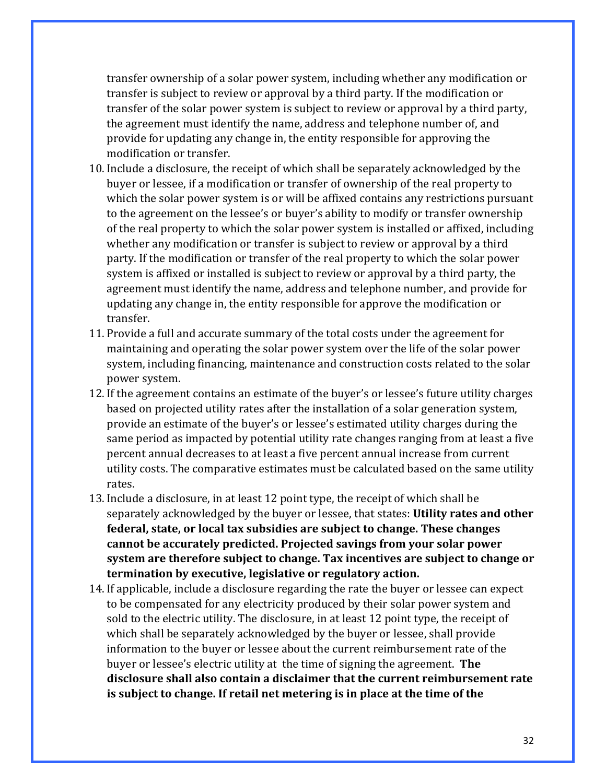transfer ownership of a solar power system, including whether any modification or transfer is subject to review or approval by a third party. If the modification or transfer of the solar power system is subject to review or approval by a third party, the agreement must identify the name, address and telephone number of, and provide for updating any change in, the entity responsible for approving the modification or transfer.

- 10. Include a disclosure, the receipt of which shall be separately acknowledged by the buyer or lessee, if a modification or transfer of ownership of the real property to which the solar power system is or will be affixed contains any restrictions pursuant to the agreement on the lessee's or buyer's ability to modify or transfer ownership of the real property to which the solar power system is installed or affixed, including whether any modification or transfer is subject to review or approval by a third party. If the modification or transfer of the real property to which the solar power system is affixed or installed is subject to review or approval by a third party, the agreement must identify the name, address and telephone number, and provide for updating any change in, the entity responsible for approve the modification or transfer.
- 11. Provide a full and accurate summary of the total costs under the agreement for maintaining and operating the solar power system over the life of the solar power system, including financing, maintenance and construction costs related to the solar power system.
- 12. If the agreement contains an estimate of the buyer's or lessee's future utility charges based on projected utility rates after the installation of a solar generation system, provide an estimate of the buyer's or lessee's estimated utility charges during the same period as impacted by potential utility rate changes ranging from at least a five percent annual decreases to at least a five percent annual increase from current utility costs. The comparative estimates must be calculated based on the same utility rates.
- 13. Include a disclosure, in at least 12 point type, the receipt of which shall be separately acknowledged by the buyer or lessee, that states: **Utility rates and other federal, state, or local tax subsidies are subject to change. These changes** cannot be accurately predicted. Projected savings from your solar power **system** are therefore subject to change. Tax incentives are subject to change or **termination by executive, legislative or regulatory action.**
- 14. If applicable, include a disclosure regarding the rate the buyer or lessee can expect to be compensated for any electricity produced by their solar power system and sold to the electric utility. The disclosure, in at least 12 point type, the receipt of which shall be separately acknowledged by the buyer or lessee, shall provide information to the buyer or lessee about the current reimbursement rate of the buyer or lessee's electric utility at the time of signing the agreement. **The** disclosure shall also contain a disclaimer that the current reimbursement rate **is subject to change.** If retail net metering is in place at the time of the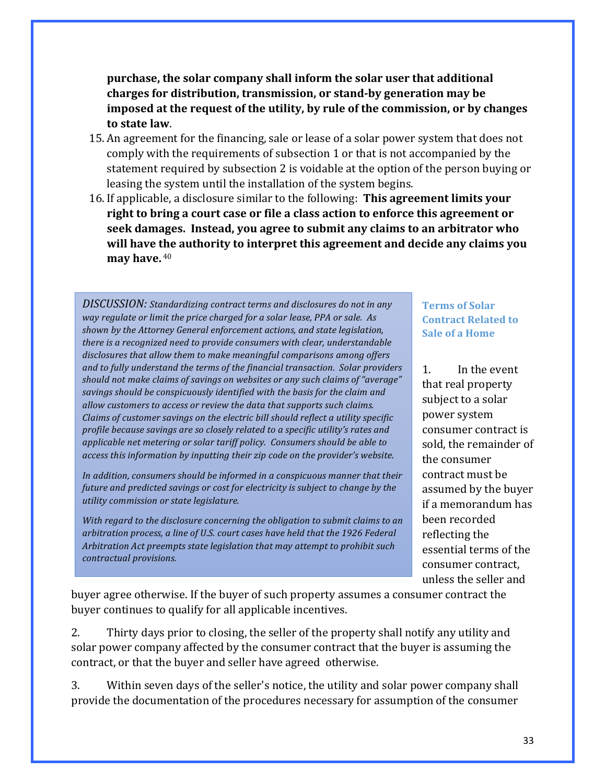## **purchase, the solar company shall inform the solar user that additional** charges for distribution, transmission, or stand-by generation may be imposed at the request of the utility, by rule of the commission, or by changes **to state law**.

- 15. An agreement for the financing, sale or lease of a solar power system that does not comply with the requirements of subsection 1 or that is not accompanied by the statement required by subsection 2 is voidable at the option of the person buying or leasing the system until the installation of the system begins.
- 16. If applicable, a disclosure similar to the following: **This agreement limits your right to bring a court case or file a class action to enforce this agreement or** seek damages. Instead, you agree to submit any claims to an arbitrator who will have the authority to interpret this agreement and decide any claims you **may have.** 40

DISCUSSION: Standardizing contract terms and disclosures do not in any *way regulate or limit the price charged for a solar lease, PPA or sale. As* shown by the Attorney General enforcement actions, and state legislation, *there is a recognized need to provide consumers with clear, understandable* disclosures that allow them to make meaningful comparisons among offers and to fully understand the terms of the financial transaction. Solar providers should not make claims of savings on websites or any such claims of "average" savings should be conspicuously identified with the basis for the claim and allow customers to access or review the data that supports such claims. *Claims of customer savings on the electric bill should reflect a utility specific* profile because savings are so closely related to a specific utility's rates and applicable net metering or solar tariff policy. Consumers should be able to *access this information by inputting their zip code on the provider's website.* 

In addition, consumers should be informed in a conspicuous manner that their *future and predicted savings or cost for electricity is subject to change by the utility* commission or state legislature.

With regard to the disclosure concerning the obligation to submit claims to an arbitration process, a line of U.S. court cases have held that the 1926 Federal *Arbitration Act preempts state legislation that may attempt to prohibit such contractual provisions.*

**Terms of Solar Contract Related to Sale of a Home** 

1. In the event that real property subject to a solar power system consumer contract is sold, the remainder of the consumer contract must be assumed by the buyer if a memorandum has been recorded reflecting the essential terms of the consumer contract, unless the seller and

buyer agree otherwise. If the buyer of such property assumes a consumer contract the buyer continues to qualify for all applicable incentives.

2. Thirty days prior to closing, the seller of the property shall notify any utility and solar power company affected by the consumer contract that the buyer is assuming the contract, or that the buyer and seller have agreed otherwise.

3. Within seven days of the seller's notice, the utility and solar power company shall provide the documentation of the procedures necessary for assumption of the consumer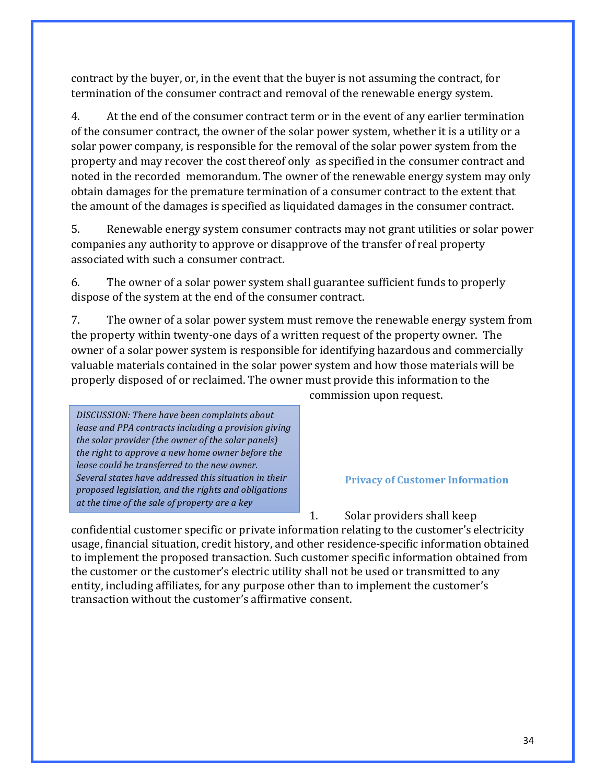contract by the buyer, or, in the event that the buyer is not assuming the contract, for termination of the consumer contract and removal of the renewable energy system.

4. At the end of the consumer contract term or in the event of any earlier termination of the consumer contract, the owner of the solar power system, whether it is a utility or a solar power company, is responsible for the removal of the solar power system from the property and may recover the cost thereof only as specified in the consumer contract and noted in the recorded memorandum. The owner of the renewable energy system may only obtain damages for the premature termination of a consumer contract to the extent that the amount of the damages is specified as liquidated damages in the consumer contract.

5. Renewable energy system consumer contracts may not grant utilities or solar power companies any authority to approve or disapprove of the transfer of real property associated with such a consumer contract.

6. The owner of a solar power system shall guarantee sufficient funds to properly dispose of the system at the end of the consumer contract.

7. The owner of a solar power system must remove the renewable energy system from the property within twenty-one days of a written request of the property owner. The owner of a solar power system is responsible for identifying hazardous and commercially valuable materials contained in the solar power system and how those materials will be properly disposed of or reclaimed. The owner must provide this information to the

**DISCUSSION:** There have been complaints about *lease and PPA contracts including a provision giving* the solar provider (the owner of the solar panels) *the right to approve a new home owner before the lease could be transferred to the new owner.* Several states have addressed this situation in their *proposed legislation, and the rights and obligations*  at the time of the sale of property are a key

*disclosure in the Arizona law.*

commission upon request.

**Privacy of Customer Information** 

1. Solar providers shall keep

confidential customer specific or private information relating to the customer's electricity usage, financial situation, credit history, and other residence-specific information obtained to implement the proposed transaction. Such customer specific information obtained from the customer or the customer's electric utility shall not be used or transmitted to any entity, including affiliates, for any purpose other than to implement the customer's transaction without the customer's affirmative consent.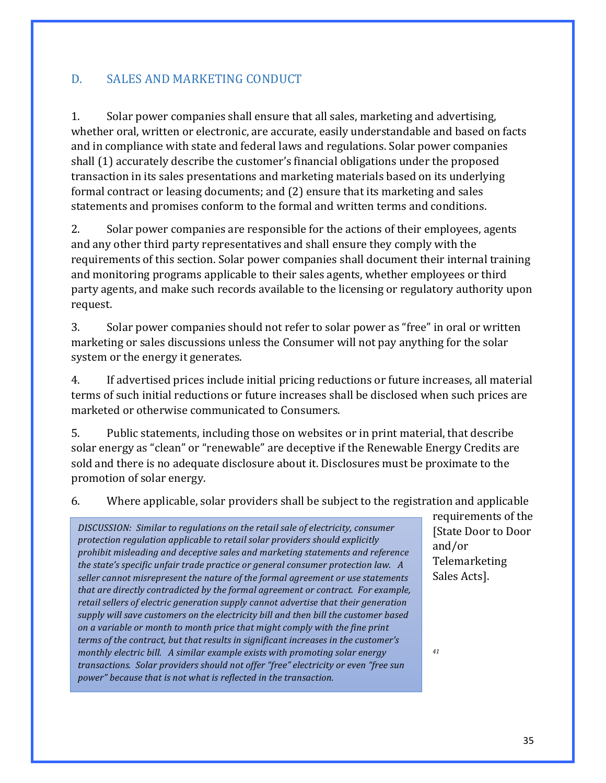## D. SALES AND MARKETING CONDUCT

1. Solar power companies shall ensure that all sales, marketing and advertising, whether oral, written or electronic, are accurate, easily understandable and based on facts and in compliance with state and federal laws and regulations. Solar power companies shall (1) accurately describe the customer's financial obligations under the proposed transaction in its sales presentations and marketing materials based on its underlying formal contract or leasing documents; and (2) ensure that its marketing and sales statements and promises conform to the formal and written terms and conditions.

2. Solar power companies are responsible for the actions of their employees, agents and any other third party representatives and shall ensure they comply with the requirements of this section. Solar power companies shall document their internal training and monitoring programs applicable to their sales agents, whether employees or third party agents, and make such records available to the licensing or regulatory authority upon request. 

3. Solar power companies should not refer to solar power as "free" in oral or written marketing or sales discussions unless the Consumer will not pay anything for the solar system or the energy it generates.

4. If advertised prices include initial pricing reductions or future increases, all material terms of such initial reductions or future increases shall be disclosed when such prices are marketed or otherwise communicated to Consumers.

5. Public statements, including those on websites or in print material, that describe solar energy as "clean" or "renewable" are deceptive if the Renewable Energy Credits are sold and there is no adequate disclosure about it. Disclosures must be proximate to the promotion of solar energy.

6. Where applicable, solar providers shall be subject to the registration and applicable

*DISCUSSION: Similar to regulations on the retail sale of electricity, consumer protection regulation applicable to retail solar providers should explicitly prohibit misleading and deceptive sales and marketing statements and reference the state's specific unfair trade practice or general consumer protection law. A* seller cannot misrepresent the nature of the formal agreement or use statements *that are directly contradicted by the formal agreement or contract. For example,* retail sellers of electric generation supply cannot advertise that their generation supply will save customers on the electricity bill and then bill the customer based *on a variable or month to month price that might comply with the fine print terms of the contract, but that results in significant increases in the customer's monthly electric bill. A similar example exists with promoting solar energy transactions. Solar providers should not offer "free" electricity or even "free sun power"* because that is not what is reflected in the transaction.

requirements of the [State Door to Door and/or Telemarketing Sales Acts].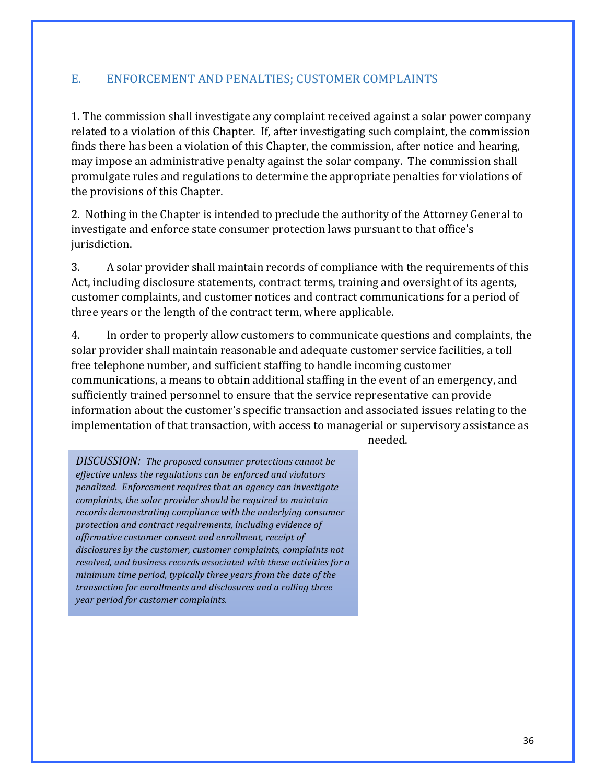## E. ENFORCEMENT AND PENALTIES; CUSTOMER COMPLAINTS

1. The commission shall investigate any complaint received against a solar power company related to a violation of this Chapter. If, after investigating such complaint, the commission finds there has been a violation of this Chapter, the commission, after notice and hearing, may impose an administrative penalty against the solar company. The commission shall promulgate rules and regulations to determine the appropriate penalties for violations of the provisions of this Chapter.

2. Nothing in the Chapter is intended to preclude the authority of the Attorney General to investigate and enforce state consumer protection laws pursuant to that office's jurisdiction. 

3. A solar provider shall maintain records of compliance with the requirements of this Act, including disclosure statements, contract terms, training and oversight of its agents, customer complaints, and customer notices and contract communications for a period of three years or the length of the contract term, where applicable.

4. In order to properly allow customers to communicate questions and complaints, the solar provider shall maintain reasonable and adequate customer service facilities, a toll free telephone number, and sufficient staffing to handle incoming customer communications, a means to obtain additional staffing in the event of an emergency, and sufficiently trained personnel to ensure that the service representative can provide information about the customer's specific transaction and associated issues relating to the implementation of that transaction, with access to managerial or supervisory assistance as

needed.

**DISCUSSION:** The proposed consumer protections cannot be *effective unless the regulations can be enforced and violators penalized. Enforcement requires that an agency can investigate complaints, the solar provider should be required to maintain* records demonstrating compliance with the underlying consumer protection and contract requirements, including evidence of *affirmative customer consent and enrollment, receipt of* disclosures by the customer, customer complaints, complaints not resolved, and business records associated with these activities for a *minimum time period, typically three years from the date of the* transaction for enrollments and disclosures and a rolling three *year period for customer complaints.*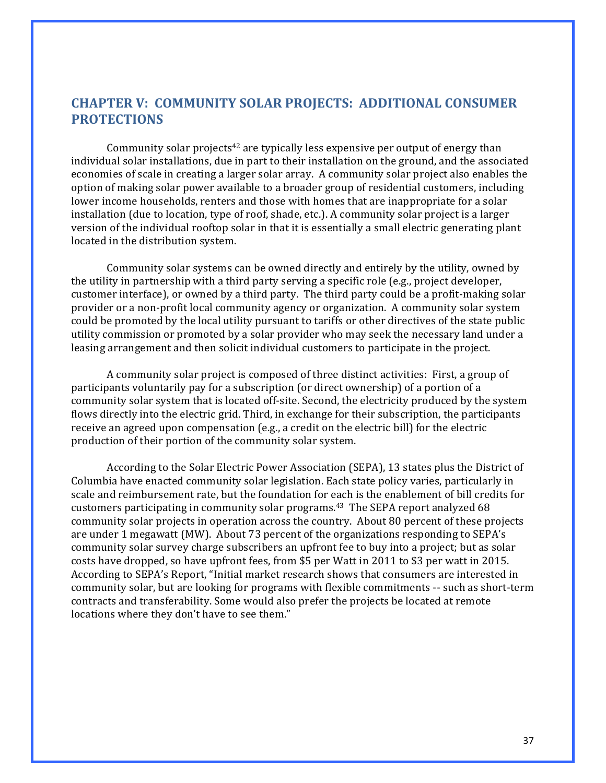## **CHAPTER V: COMMUNITY SOLAR PROJECTS: ADDITIONAL CONSUMER PROTECTIONS**

Community solar projects<sup>42</sup> are typically less expensive per output of energy than individual solar installations, due in part to their installation on the ground, and the associated economies of scale in creating a larger solar array. A community solar project also enables the option of making solar power available to a broader group of residential customers, including lower income households, renters and those with homes that are inappropriate for a solar installation (due to location, type of roof, shade, etc.). A community solar project is a larger version of the individual rooftop solar in that it is essentially a small electric generating plant located in the distribution system.

Community solar systems can be owned directly and entirely by the utility, owned by the utility in partnership with a third party serving a specific role  $(e.g.,$  project developer, customer interface), or owned by a third party. The third party could be a profit-making solar provider or a non-profit local community agency or organization. A community solar system could be promoted by the local utility pursuant to tariffs or other directives of the state public utility commission or promoted by a solar provider who may seek the necessary land under a leasing arrangement and then solicit individual customers to participate in the project.

A community solar project is composed of three distinct activities: First, a group of participants voluntarily pay for a subscription (or direct ownership) of a portion of a community solar system that is located off-site. Second, the electricity produced by the system flows directly into the electric grid. Third, in exchange for their subscription, the participants receive an agreed upon compensation  $(e.g., a credit on the electric bill)$  for the electric production of their portion of the community solar system.

According to the Solar Electric Power Association (SEPA), 13 states plus the District of Columbia have enacted community solar legislation. Each state policy varies, particularly in scale and reimbursement rate, but the foundation for each is the enablement of bill credits for customers participating in community solar programs.<sup>43</sup> The SEPA report analyzed  $68$ community solar projects in operation across the country. About 80 percent of these projects are under 1 megawatt (MW). About 73 percent of the organizations responding to  $SEPA's$ community solar survey charge subscribers an upfront fee to buy into a project; but as solar costs have dropped, so have upfront fees, from \$5 per Watt in 2011 to \$3 per watt in 2015. According to SEPA's Report, "Initial market research shows that consumers are interested in community solar, but are looking for programs with flexible commitments -- such as short-term contracts and transferability. Some would also prefer the projects be located at remote locations where they don't have to see them."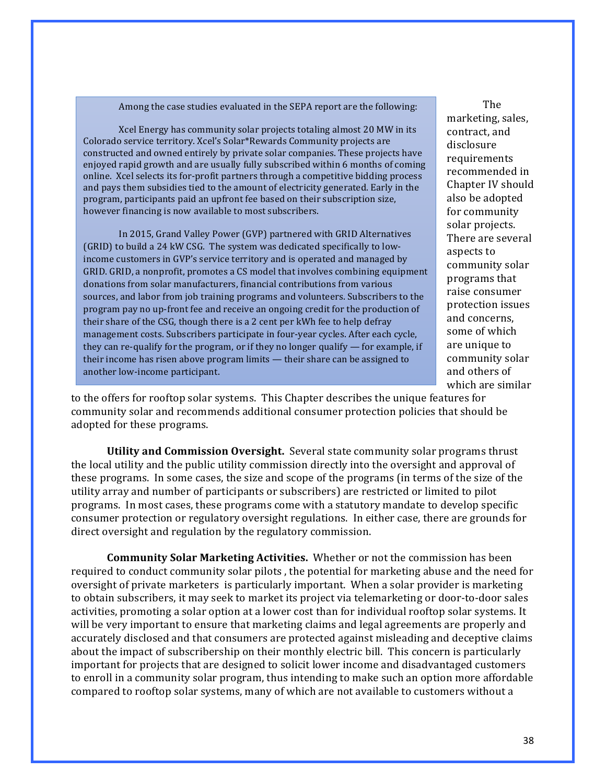Among the case studies evaluated in the SEPA report are the following:

Xcel Energy has community solar projects totaling almost 20 MW in its Colorado service territory. Xcel's Solar\*Rewards Community projects are constructed and owned entirely by private solar companies. These projects have enjoyed rapid growth and are usually fully subscribed within 6 months of coming online. Xcel selects its for-profit partners through a competitive bidding process and pays them subsidies tied to the amount of electricity generated. Early in the program, participants paid an upfront fee based on their subscription size, however financing is now available to most subscribers.

In 2015, Grand Valley Power (GVP) partnered with GRID Alternatives (GRID) to build a 24 kW CSG. The system was dedicated specifically to lowincome customers in GVP's service territory and is operated and managed by GRID. GRID, a nonprofit, promotes a CS model that involves combining equipment donations from solar manufacturers, financial contributions from various sources, and labor from job training programs and volunteers. Subscribers to the program pay no up-front fee and receive an ongoing credit for the production of their share of the CSG, though there is a 2 cent per kWh fee to help defray management costs. Subscribers participate in four-year cycles. After each cycle, they can re-qualify for the program, or if they no longer qualify  $-$  for example, if their income has risen above program limits - their share can be assigned to another low-income participant.

The marketing, sales, contract, and disclosure requirements recommended in Chapter IV should also be adopted for community solar projects. There are several aspects to community solar programs that raise consumer protection issues and concerns. some of which are unique to community solar and others of which are similar

to the offers for rooftop solar systems. This Chapter describes the unique features for community solar and recommends additional consumer protection policies that should be adopted for these programs.

**Utility and Commission Oversight.** Several state community solar programs thrust the local utility and the public utility commission directly into the oversight and approval of these programs. In some cases, the size and scope of the programs (in terms of the size of the utility array and number of participants or subscribers) are restricted or limited to pilot programs. In most cases, these programs come with a statutory mandate to develop specific consumer protection or regulatory oversight regulations. In either case, there are grounds for direct oversight and regulation by the regulatory commission.

**Community Solar Marketing Activities.** Whether or not the commission has been required to conduct community solar pilots, the potential for marketing abuse and the need for oversight of private marketers is particularly important. When a solar provider is marketing to obtain subscribers, it may seek to market its project via telemarketing or door-to-door sales activities, promoting a solar option at a lower cost than for individual rooftop solar systems. It will be very important to ensure that marketing claims and legal agreements are properly and accurately disclosed and that consumers are protected against misleading and deceptive claims about the impact of subscribership on their monthly electric bill. This concern is particularly important for projects that are designed to solicit lower income and disadvantaged customers to enroll in a community solar program, thus intending to make such an option more affordable compared to rooftop solar systems, many of which are not available to customers without a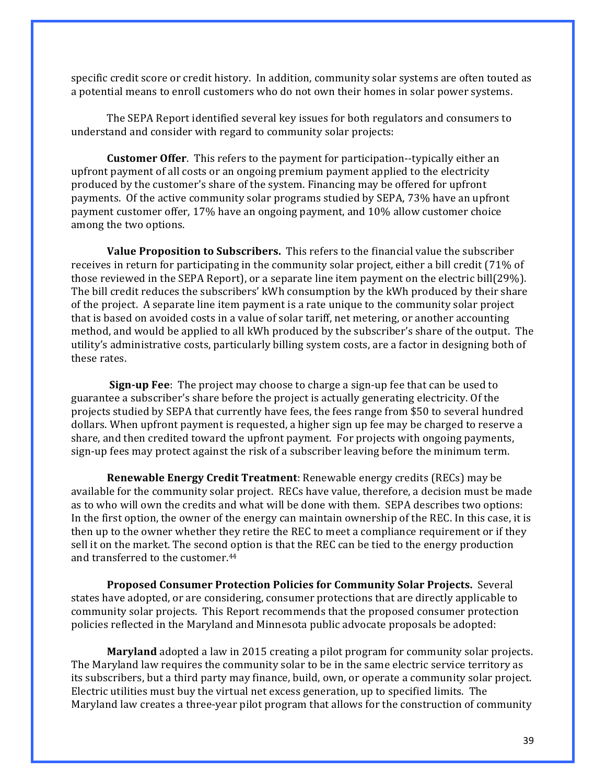specific credit score or credit history. In addition, community solar systems are often touted as a potential means to enroll customers who do not own their homes in solar power systems.

The SEPA Report identified several key issues for both regulators and consumers to understand and consider with regard to community solar projects:

**Customer Offer**. This refers to the payment for participation--typically either an upfront payment of all costs or an ongoing premium payment applied to the electricity produced by the customer's share of the system. Financing may be offered for upfront payments. Of the active community solar programs studied by SEPA, 73% have an upfront payment customer offer, 17% have an ongoing payment, and 10% allow customer choice among the two options.

**Value Proposition to Subscribers.** This refers to the financial value the subscriber receives in return for participating in the community solar project, either a bill credit (71% of those reviewed in the SEPA Report), or a separate line item payment on the electric bill(29%). The bill credit reduces the subscribers' kWh consumption by the kWh produced by their share of the project. A separate line item payment is a rate unique to the community solar project that is based on avoided costs in a value of solar tariff, net metering, or another accounting method, and would be applied to all kWh produced by the subscriber's share of the output. The utility's administrative costs, particularly billing system costs, are a factor in designing both of these rates.

**Sign-up Fee**: The project may choose to charge a sign-up fee that can be used to guarantee a subscriber's share before the project is actually generating electricity. Of the projects studied by SEPA that currently have fees, the fees range from \$50 to several hundred dollars. When upfront payment is requested, a higher sign up fee may be charged to reserve a share, and then credited toward the upfront payment. For projects with ongoing payments, sign-up fees may protect against the risk of a subscriber leaving before the minimum term.

**Renewable Energy Credit Treatment:** Renewable energy credits (RECs) may be available for the community solar project. RECs have value, therefore, a decision must be made as to who will own the credits and what will be done with them. SEPA describes two options: In the first option, the owner of the energy can maintain ownership of the REC. In this case, it is then up to the owner whether they retire the REC to meet a compliance requirement or if they sell it on the market. The second option is that the REC can be tied to the energy production and transferred to the customer.<sup>44</sup>

**Proposed Consumer Protection Policies for Community Solar Projects.** Several states have adopted, or are considering, consumer protections that are directly applicable to community solar projects. This Report recommends that the proposed consumer protection policies reflected in the Maryland and Minnesota public advocate proposals be adopted:

**Maryland** adopted a law in 2015 creating a pilot program for community solar projects. The Maryland law requires the community solar to be in the same electric service territory as its subscribers, but a third party may finance, build, own, or operate a community solar project. Electric utilities must buy the virtual net excess generation, up to specified limits. The Maryland law creates a three-year pilot program that allows for the construction of community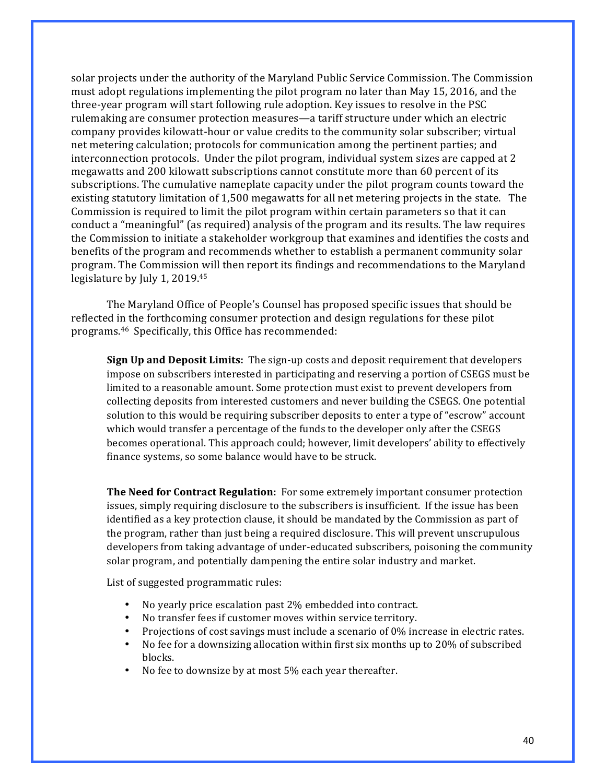solar projects under the authority of the Maryland Public Service Commission. The Commission must adopt regulations implementing the pilot program no later than May 15, 2016, and the three-year program will start following rule adoption. Key issues to resolve in the PSC rulemaking are consumer protection measures—a tariff structure under which an electric company provides kilowatt-hour or value credits to the community solar subscriber; virtual net metering calculation; protocols for communication among the pertinent parties; and interconnection protocols. Under the pilot program, individual system sizes are capped at 2 megawatts and 200 kilowatt subscriptions cannot constitute more than 60 percent of its subscriptions. The cumulative nameplate capacity under the pilot program counts toward the existing statutory limitation of 1,500 megawatts for all net metering projects in the state. The Commission is required to limit the pilot program within certain parameters so that it can conduct a "meaningful" (as required) analysis of the program and its results. The law requires the Commission to initiate a stakeholder workgroup that examines and identifies the costs and benefits of the program and recommends whether to establish a permanent community solar program. The Commission will then report its findings and recommendations to the Maryland legislature by July 1, 2019. $45$ 

The Maryland Office of People's Counsel has proposed specific issues that should be reflected in the forthcoming consumer protection and design regulations for these pilot programs.<sup>46</sup> Specifically, this Office has recommended:

**Sign Up and Deposit Limits:** The sign-up costs and deposit requirement that developers impose on subscribers interested in participating and reserving a portion of CSEGS must be limited to a reasonable amount. Some protection must exist to prevent developers from collecting deposits from interested customers and never building the CSEGS. One potential solution to this would be requiring subscriber deposits to enter a type of "escrow" account which would transfer a percentage of the funds to the developer only after the CSEGS becomes operational. This approach could; however, limit developers' ability to effectively finance systems, so some balance would have to be struck.

**The Need for Contract Regulation:** For some extremely important consumer protection issues, simply requiring disclosure to the subscribers is insufficient. If the issue has been identified as a key protection clause, it should be mandated by the Commission as part of the program, rather than just being a required disclosure. This will prevent unscrupulous developers from taking advantage of under-educated subscribers, poisoning the community solar program, and potentially dampening the entire solar industry and market.

List of suggested programmatic rules:

- No vearly price escalation past 2% embedded into contract.
- No transfer fees if customer moves within service territory.
- Projections of cost savings must include a scenario of 0% increase in electric rates.
- No fee for a downsizing allocation within first six months up to 20% of subscribed blocks.
- No fee to downsize by at most 5% each year thereafter.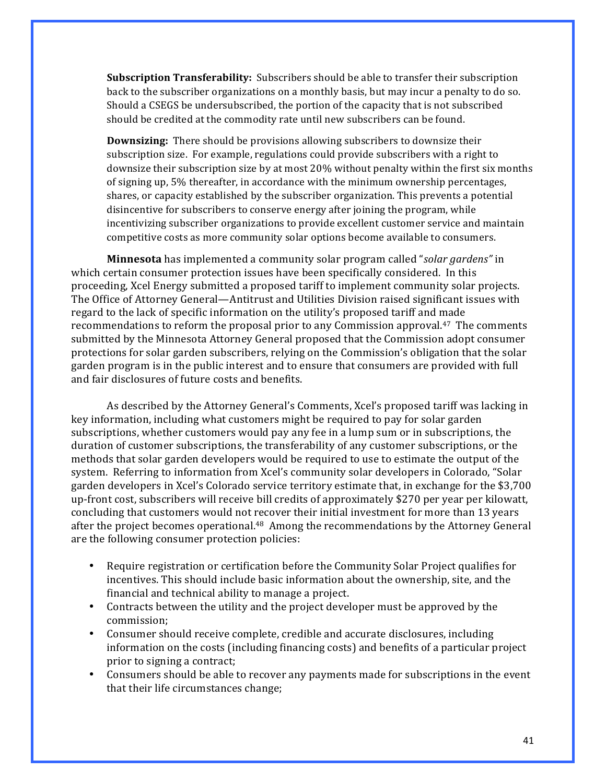**Subscription Transferability:** Subscribers should be able to transfer their subscription back to the subscriber organizations on a monthly basis, but may incur a penalty to do so. Should a CSEGS be undersubscribed, the portion of the capacity that is not subscribed should be credited at the commodity rate until new subscribers can be found.

**Downsizing:** There should be provisions allowing subscribers to downsize their subscription size. For example, regulations could provide subscribers with a right to downsize their subscription size by at most 20% without penalty within the first six months of signing up, 5% thereafter, in accordance with the minimum ownership percentages, shares, or capacity established by the subscriber organization. This prevents a potential disincentive for subscribers to conserve energy after joining the program, while incentivizing subscriber organizations to provide excellent customer service and maintain competitive costs as more community solar options become available to consumers.

**Minnesota** has implemented a community solar program called "*solar gardens*" in which certain consumer protection issues have been specifically considered. In this proceeding, Xcel Energy submitted a proposed tariff to implement community solar projects. The Office of Attorney General—Antitrust and Utilities Division raised significant issues with regard to the lack of specific information on the utility's proposed tariff and made recommendations to reform the proposal prior to any Commission approval.<sup>47</sup> The comments submitted by the Minnesota Attorney General proposed that the Commission adopt consumer protections for solar garden subscribers, relying on the Commission's obligation that the solar garden program is in the public interest and to ensure that consumers are provided with full and fair disclosures of future costs and benefits.

As described by the Attorney General's Comments, Xcel's proposed tariff was lacking in key information, including what customers might be required to pay for solar garden subscriptions, whether customers would pay any fee in a lump sum or in subscriptions, the duration of customer subscriptions, the transferability of any customer subscriptions, or the methods that solar garden developers would be required to use to estimate the output of the system. Referring to information from Xcel's community solar developers in Colorado, "Solar garden developers in Xcel's Colorado service territory estimate that, in exchange for the \$3,700 up-front cost, subscribers will receive bill credits of approximately \$270 per year per kilowatt, concluding that customers would not recover their initial investment for more than 13 years after the project becomes operational.<sup>48</sup> Among the recommendations by the Attorney General are the following consumer protection policies:

- Require registration or certification before the Community Solar Project qualifies for incentives. This should include basic information about the ownership, site, and the financial and technical ability to manage a project.
- Contracts between the utility and the project developer must be approved by the commission;
- Consumer should receive complete, credible and accurate disclosures, including information on the costs (including financing costs) and benefits of a particular project prior to signing a contract;
- Consumers should be able to recover any payments made for subscriptions in the event that their life circumstances change;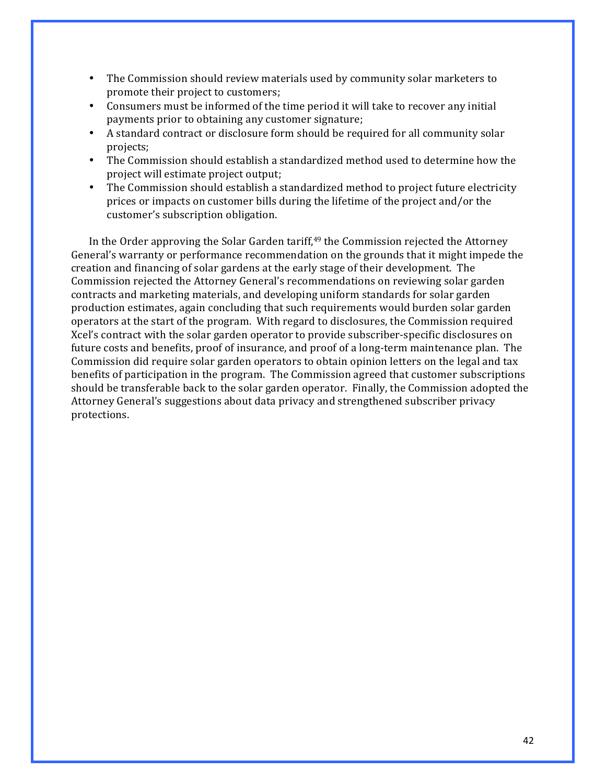- The Commission should review materials used by community solar marketers to promote their project to customers;
- Consumers must be informed of the time period it will take to recover any initial payments prior to obtaining any customer signature;
- A standard contract or disclosure form should be required for all community solar projects;
- The Commission should establish a standardized method used to determine how the project will estimate project output;
- The Commission should establish a standardized method to project future electricity prices or impacts on customer bills during the lifetime of the project and/or the customer's subscription obligation.

In the Order approving the Solar Garden tariff, $49$  the Commission rejected the Attorney General's warranty or performance recommendation on the grounds that it might impede the creation and financing of solar gardens at the early stage of their development. The Commission rejected the Attorney General's recommendations on reviewing solar garden contracts and marketing materials, and developing uniform standards for solar garden production estimates, again concluding that such requirements would burden solar garden operators at the start of the program. With regard to disclosures, the Commission required Xcel's contract with the solar garden operator to provide subscriber-specific disclosures on future costs and benefits, proof of insurance, and proof of a long-term maintenance plan. The Commission did require solar garden operators to obtain opinion letters on the legal and tax benefits of participation in the program. The Commission agreed that customer subscriptions should be transferable back to the solar garden operator. Finally, the Commission adopted the Attorney General's suggestions about data privacy and strengthened subscriber privacy protections.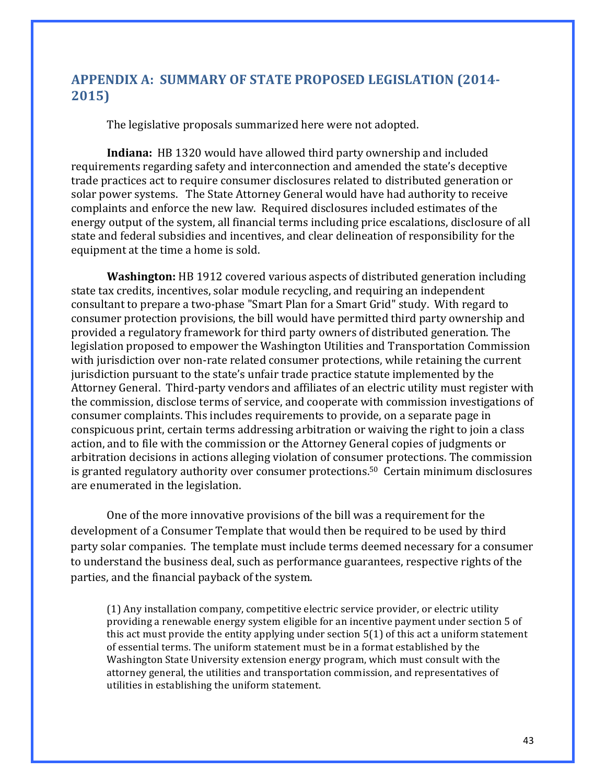## **APPENDIX A: SUMMARY OF STATE PROPOSED LEGISLATION (2014- 2015)**

The legislative proposals summarized here were not adopted.

**Indiana:** HB 1320 would have allowed third party ownership and included requirements regarding safety and interconnection and amended the state's deceptive trade practices act to require consumer disclosures related to distributed generation or solar power systems. The State Attorney General would have had authority to receive complaints and enforce the new law. Required disclosures included estimates of the energy output of the system, all financial terms including price escalations, disclosure of all state and federal subsidies and incentives, and clear delineation of responsibility for the equipment at the time a home is sold.

**Washington:** HB 1912 covered various aspects of distributed generation including state tax credits, incentives, solar module recycling, and requiring an independent consultant to prepare a two-phase "Smart Plan for a Smart Grid" study. With regard to consumer protection provisions, the bill would have permitted third party ownership and provided a regulatory framework for third party owners of distributed generation. The legislation proposed to empower the Washington Utilities and Transportation Commission with jurisdiction over non-rate related consumer protections, while retaining the current jurisdiction pursuant to the state's unfair trade practice statute implemented by the Attorney General. Third-party vendors and affiliates of an electric utility must register with the commission, disclose terms of service, and cooperate with commission investigations of consumer complaints. This includes requirements to provide, on a separate page in conspicuous print, certain terms addressing arbitration or waiving the right to join a class action, and to file with the commission or the Attorney General copies of judgments or arbitration decisions in actions alleging violation of consumer protections. The commission is granted regulatory authority over consumer protections.<sup>50</sup> Certain minimum disclosures are enumerated in the legislation.

One of the more innovative provisions of the bill was a requirement for the development of a Consumer Template that would then be required to be used by third party solar companies. The template must include terms deemed necessary for a consumer to understand the business deal, such as performance guarantees, respective rights of the parties, and the financial payback of the system.

(1) Any installation company, competitive electric service provider, or electric utility providing a renewable energy system eligible for an incentive payment under section 5 of this act must provide the entity applying under section  $5(1)$  of this act a uniform statement of essential terms. The uniform statement must be in a format established by the Washington State University extension energy program, which must consult with the attorney general, the utilities and transportation commission, and representatives of utilities in establishing the uniform statement.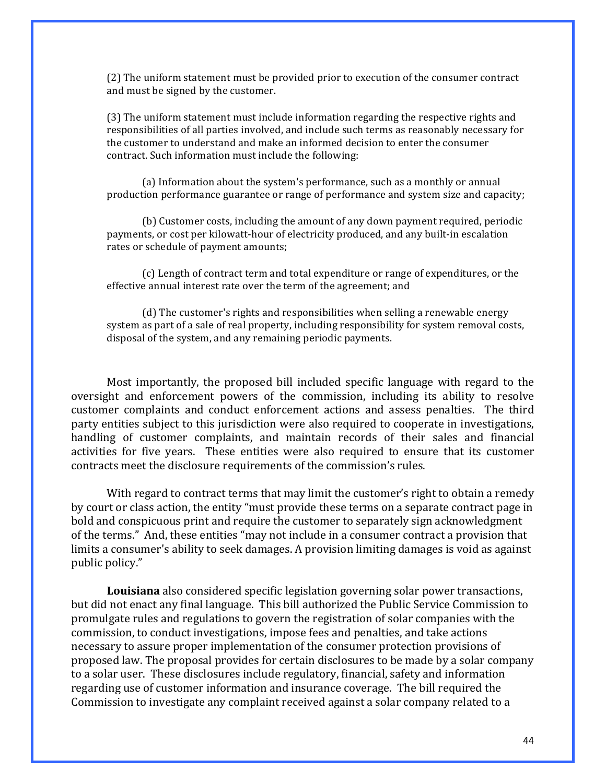(2) The uniform statement must be provided prior to execution of the consumer contract and must be signed by the customer.

(3) The uniform statement must include information regarding the respective rights and responsibilities of all parties involved, and include such terms as reasonably necessary for the customer to understand and make an informed decision to enter the consumer contract. Such information must include the following:

(a) Information about the system's performance, such as a monthly or annual production performance guarantee or range of performance and system size and capacity;

(b) Customer costs, including the amount of any down payment required, periodic payments, or cost per kilowatt-hour of electricity produced, and any built-in escalation rates or schedule of payment amounts;

(c) Length of contract term and total expenditure or range of expenditures, or the effective annual interest rate over the term of the agreement; and

(d) The customer's rights and responsibilities when selling a renewable energy system as part of a sale of real property, including responsibility for system removal costs, disposal of the system, and any remaining periodic payments.

Most importantly, the proposed bill included specific language with regard to the oversight and enforcement powers of the commission, including its ability to resolve customer complaints and conduct enforcement actions and assess penalties. The third party entities subject to this jurisdiction were also required to cooperate in investigations, handling of customer complaints, and maintain records of their sales and financial activities for five years. These entities were also required to ensure that its customer contracts meet the disclosure requirements of the commission's rules.

With regard to contract terms that may limit the customer's right to obtain a remedy by court or class action, the entity "must provide these terms on a separate contract page in bold and conspicuous print and require the customer to separately sign acknowledgment of the terms." And, these entities "may not include in a consumer contract a provision that limits a consumer's ability to seek damages. A provision limiting damages is void as against public policy."

**Louisiana** also considered specific legislation governing solar power transactions, but did not enact any final language. This bill authorized the Public Service Commission to promulgate rules and regulations to govern the registration of solar companies with the commission, to conduct investigations, impose fees and penalties, and take actions necessary to assure proper implementation of the consumer protection provisions of proposed law. The proposal provides for certain disclosures to be made by a solar company to a solar user. These disclosures include regulatory, financial, safety and information regarding use of customer information and insurance coverage. The bill required the Commission to investigate any complaint received against a solar company related to a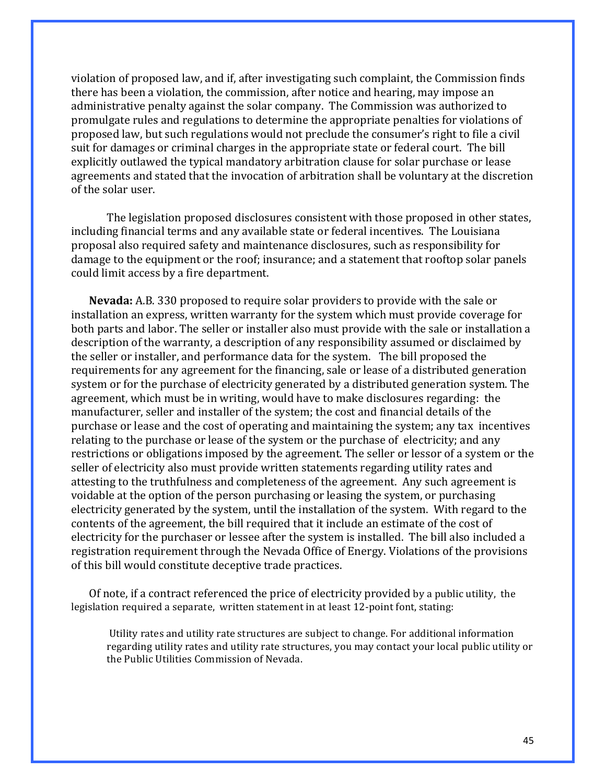violation of proposed law, and if, after investigating such complaint, the Commission finds there has been a violation, the commission, after notice and hearing, may impose an administrative penalty against the solar company. The Commission was authorized to promulgate rules and regulations to determine the appropriate penalties for violations of proposed law, but such regulations would not preclude the consumer's right to file a civil suit for damages or criminal charges in the appropriate state or federal court. The bill explicitly outlawed the typical mandatory arbitration clause for solar purchase or lease agreements and stated that the invocation of arbitration shall be voluntary at the discretion of the solar user.

The legislation proposed disclosures consistent with those proposed in other states, including financial terms and any available state or federal incentives. The Louisiana proposal also required safety and maintenance disclosures, such as responsibility for damage to the equipment or the roof; insurance; and a statement that rooftop solar panels could limit access by a fire department.

**Nevada:** A.B. 330 proposed to require solar providers to provide with the sale or installation an express, written warranty for the system which must provide coverage for both parts and labor. The seller or installer also must provide with the sale or installation a description of the warranty, a description of any responsibility assumed or disclaimed by the seller or installer, and performance data for the system. The bill proposed the requirements for any agreement for the financing, sale or lease of a distributed generation system or for the purchase of electricity generated by a distributed generation system. The agreement, which must be in writing, would have to make disclosures regarding: the manufacturer, seller and installer of the system; the cost and financial details of the purchase or lease and the cost of operating and maintaining the system; any tax incentives relating to the purchase or lease of the system or the purchase of electricity; and any restrictions or obligations imposed by the agreement. The seller or lessor of a system or the seller of electricity also must provide written statements regarding utility rates and attesting to the truthfulness and completeness of the agreement. Any such agreement is voidable at the option of the person purchasing or leasing the system, or purchasing electricity generated by the system, until the installation of the system. With regard to the contents of the agreement, the bill required that it include an estimate of the cost of electricity for the purchaser or lessee after the system is installed. The bill also included a registration requirement through the Nevada Office of Energy. Violations of the provisions of this bill would constitute deceptive trade practices.

Of note, if a contract referenced the price of electricity provided by a public utility, the legislation required a separate, written statement in at least 12-point font, stating:

Utility rates and utility rate structures are subject to change. For additional information regarding utility rates and utility rate structures, you may contact your local public utility or the Public Utilities Commission of Nevada.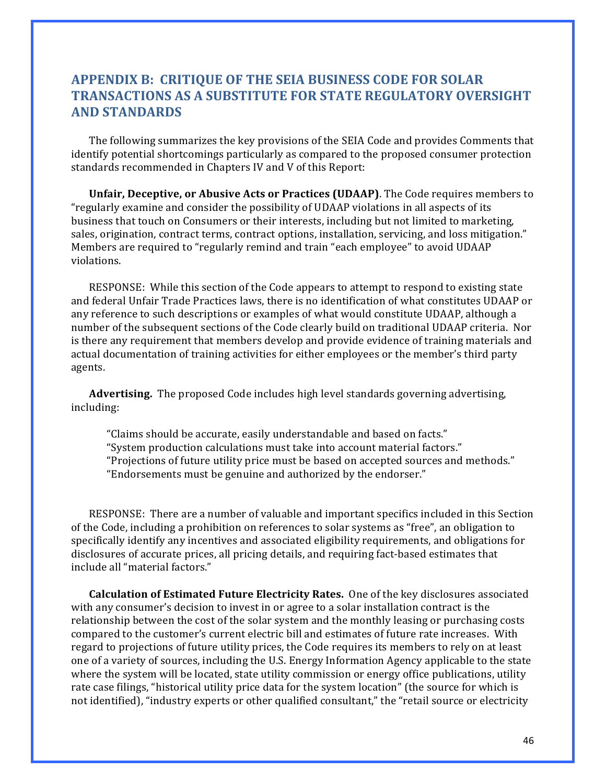# **APPENDIX B: CRITIQUE OF THE SEIA BUSINESS CODE FOR SOLAR TRANSACTIONS AS A SUBSTITUTE FOR STATE REGULATORY OVERSIGHT AND STANDARDS**

The following summarizes the key provisions of the SEIA Code and provides Comments that identify potential shortcomings particularly as compared to the proposed consumer protection standards recommended in Chapters IV and V of this Report:

**Unfair, Deceptive, or Abusive Acts or Practices (UDAAP)**. The Code requires members to "regularly examine and consider the possibility of UDAAP violations in all aspects of its business that touch on Consumers or their interests, including but not limited to marketing, sales, origination, contract terms, contract options, installation, servicing, and loss mitigation." Members are required to "regularly remind and train "each employee" to avoid UDAAP violations.

RESPONSE: While this section of the Code appears to attempt to respond to existing state and federal Unfair Trade Practices laws, there is no identification of what constitutes UDAAP or any reference to such descriptions or examples of what would constitute UDAAP, although a number of the subsequent sections of the Code clearly build on traditional UDAAP criteria. Nor is there any requirement that members develop and provide evidence of training materials and actual documentation of training activities for either employees or the member's third party agents.

**Advertising.** The proposed Code includes high level standards governing advertising, including: 

"Claims should be accurate, easily understandable and based on facts." "System production calculations must take into account material factors." "Projections of future utility price must be based on accepted sources and methods." "Endorsements must be genuine and authorized by the endorser."

RESPONSE: There are a number of valuable and important specifics included in this Section of the Code, including a prohibition on references to solar systems as "free", an obligation to specifically identify any incentives and associated eligibility requirements, and obligations for disclosures of accurate prices, all pricing details, and requiring fact-based estimates that include all "material factors."

**Calculation of Estimated Future Electricity Rates.** One of the key disclosures associated with any consumer's decision to invest in or agree to a solar installation contract is the relationship between the cost of the solar system and the monthly leasing or purchasing costs compared to the customer's current electric bill and estimates of future rate increases. With regard to projections of future utility prices, the Code requires its members to rely on at least one of a variety of sources, including the U.S. Energy Information Agency applicable to the state where the system will be located, state utility commission or energy office publications, utility rate case filings, "historical utility price data for the system location" (the source for which is not identified), "industry experts or other qualified consultant," the "retail source or electricity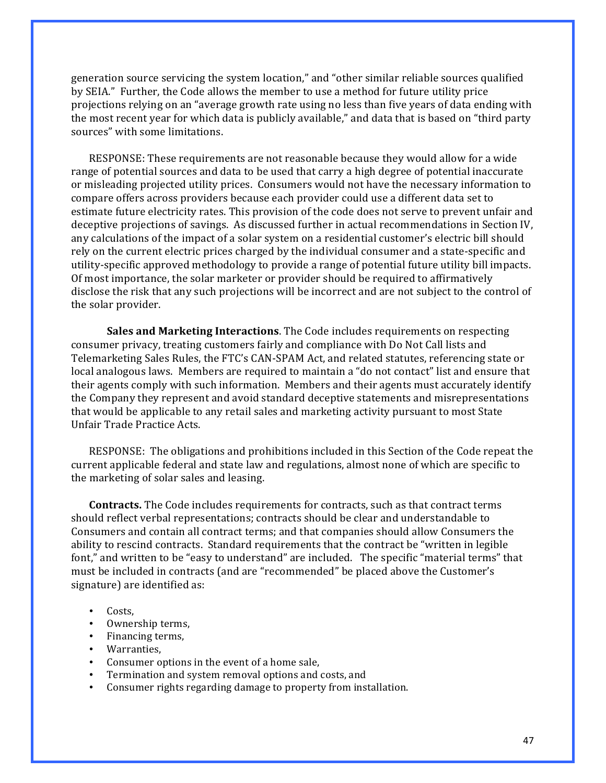generation source servicing the system location," and "other similar reliable sources qualified by SEIA." Further, the Code allows the member to use a method for future utility price projections relying on an "average growth rate using no less than five years of data ending with the most recent year for which data is publicly available," and data that is based on "third party" sources" with some limitations.

RESPONSE: These requirements are not reasonable because they would allow for a wide range of potential sources and data to be used that carry a high degree of potential inaccurate or misleading projected utility prices. Consumers would not have the necessary information to compare offers across providers because each provider could use a different data set to estimate future electricity rates. This provision of the code does not serve to prevent unfair and deceptive projections of savings. As discussed further in actual recommendations in Section IV, any calculations of the impact of a solar system on a residential customer's electric bill should rely on the current electric prices charged by the individual consumer and a state-specific and utility-specific approved methodology to provide a range of potential future utility bill impacts. Of most importance, the solar marketer or provider should be required to affirmatively disclose the risk that any such projections will be incorrect and are not subject to the control of the solar provider.

**Sales and Marketing Interactions**. The Code includes requirements on respecting consumer privacy, treating customers fairly and compliance with Do Not Call lists and Telemarketing Sales Rules, the FTC's CAN-SPAM Act, and related statutes, referencing state or local analogous laws. Members are required to maintain a "do not contact" list and ensure that their agents comply with such information. Members and their agents must accurately identify the Company they represent and avoid standard deceptive statements and misrepresentations that would be applicable to any retail sales and marketing activity pursuant to most State Unfair Trade Practice Acts.

RESPONSE: The obligations and prohibitions included in this Section of the Code repeat the current applicable federal and state law and regulations, almost none of which are specific to the marketing of solar sales and leasing.

**Contracts.** The Code includes requirements for contracts, such as that contract terms should reflect verbal representations; contracts should be clear and understandable to Consumers and contain all contract terms; and that companies should allow Consumers the ability to rescind contracts. Standard requirements that the contract be "written in legible font," and written to be "easy to understand" are included. The specific "material terms" that must be included in contracts (and are "recommended" be placed above the Customer's signature) are identified as:

- Costs.
- Ownership terms,
- Financing terms,
- Warranties,
- Consumer options in the event of a home sale,
- Termination and system removal options and costs, and
- Consumer rights regarding damage to property from installation.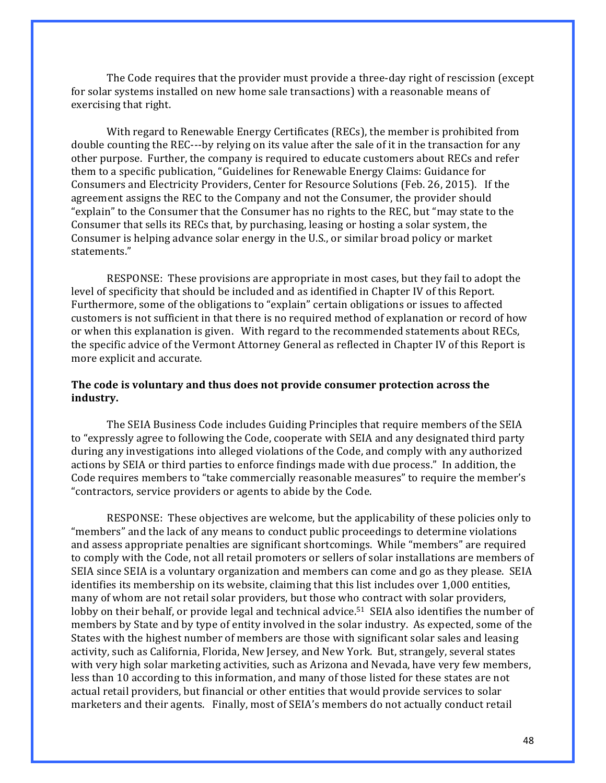The Code requires that the provider must provide a three-day right of rescission (except for solar systems installed on new home sale transactions) with a reasonable means of exercising that right.

With regard to Renewable Energy Certificates (RECs), the member is prohibited from double counting the REC---by relying on its value after the sale of it in the transaction for any other purpose. Further, the company is required to educate customers about RECs and refer them to a specific publication, "Guidelines for Renewable Energy Claims: Guidance for Consumers and Electricity Providers, Center for Resource Solutions (Feb. 26, 2015). If the agreement assigns the REC to the Company and not the Consumer, the provider should "explain" to the Consumer that the Consumer has no rights to the REC, but "may state to the Consumer that sells its RECs that, by purchasing, leasing or hosting a solar system, the Consumer is helping advance solar energy in the U.S., or similar broad policy or market statements."

RESPONSE: These provisions are appropriate in most cases, but they fail to adopt the level of specificity that should be included and as identified in Chapter IV of this Report. Furthermore, some of the obligations to "explain" certain obligations or issues to affected customers is not sufficient in that there is no required method of explanation or record of how or when this explanation is given. With regard to the recommended statements about RECs, the specific advice of the Vermont Attorney General as reflected in Chapter IV of this Report is more explicit and accurate.

#### The code is voluntary and thus does not provide consumer protection across the **industry.**

The SEIA Business Code includes Guiding Principles that require members of the SEIA to "expressly agree to following the Code, cooperate with SEIA and any designated third party during any investigations into alleged violations of the Code, and comply with any authorized actions by SEIA or third parties to enforce findings made with due process." In addition, the Code requires members to "take commercially reasonable measures" to require the member's "contractors, service providers or agents to abide by the Code.

RESPONSE: These objectives are welcome, but the applicability of these policies only to "members" and the lack of any means to conduct public proceedings to determine violations and assess appropriate penalties are significant shortcomings. While "members" are required to comply with the Code, not all retail promoters or sellers of solar installations are members of SEIA since SEIA is a voluntary organization and members can come and go as they please. SEIA identifies its membership on its website, claiming that this list includes over 1,000 entities, many of whom are not retail solar providers, but those who contract with solar providers, lobby on their behalf, or provide legal and technical advice.<sup>51</sup> SEIA also identifies the number of members by State and by type of entity involved in the solar industry. As expected, some of the States with the highest number of members are those with significant solar sales and leasing activity, such as California, Florida, New Jersey, and New York. But, strangely, several states with very high solar marketing activities, such as Arizona and Nevada, have very few members, less than 10 according to this information, and many of those listed for these states are not actual retail providers, but financial or other entities that would provide services to solar marketers and their agents. Finally, most of SEIA's members do not actually conduct retail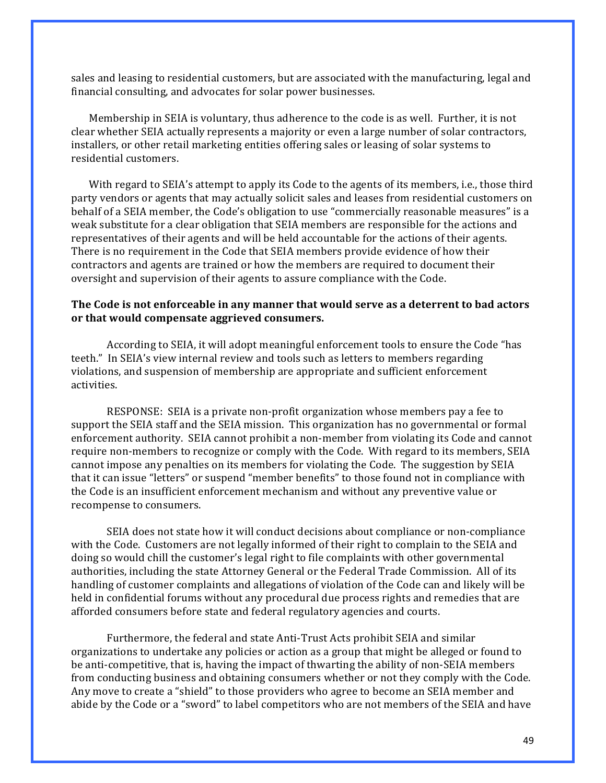sales and leasing to residential customers, but are associated with the manufacturing, legal and financial consulting, and advocates for solar power businesses.

Membership in SEIA is voluntary, thus adherence to the code is as well. Further, it is not clear whether SEIA actually represents a majority or even a large number of solar contractors, installers, or other retail marketing entities offering sales or leasing of solar systems to residential customers.

With regard to SEIA's attempt to apply its Code to the agents of its members, i.e., those third party vendors or agents that may actually solicit sales and leases from residential customers on behalf of a SEIA member, the Code's obligation to use "commercially reasonable measures" is a weak substitute for a clear obligation that SEIA members are responsible for the actions and representatives of their agents and will be held accountable for the actions of their agents. There is no requirement in the Code that SEIA members provide evidence of how their contractors and agents are trained or how the members are required to document their oversight and supervision of their agents to assure compliance with the Code.

#### The Code is not enforceable in any manner that would serve as a deterrent to bad actors or that would compensate aggrieved consumers.

According to SEIA, it will adopt meaningful enforcement tools to ensure the Code "has teeth." In SEIA's view internal review and tools such as letters to members regarding violations, and suspension of membership are appropriate and sufficient enforcement activities. 

RESPONSE: SEIA is a private non-profit organization whose members pay a fee to support the SEIA staff and the SEIA mission. This organization has no governmental or formal enforcement authority. SEIA cannot prohibit a non-member from violating its Code and cannot require non-members to recognize or comply with the Code. With regard to its members, SEIA cannot impose any penalties on its members for violating the Code. The suggestion by SEIA that it can issue "letters" or suspend "member benefits" to those found not in compliance with the Code is an insufficient enforcement mechanism and without any preventive value or recompense to consumers.

SEIA does not state how it will conduct decisions about compliance or non-compliance with the Code. Customers are not legally informed of their right to complain to the SEIA and doing so would chill the customer's legal right to file complaints with other governmental authorities, including the state Attorney General or the Federal Trade Commission. All of its handling of customer complaints and allegations of violation of the Code can and likely will be held in confidential forums without any procedural due process rights and remedies that are afforded consumers before state and federal regulatory agencies and courts.

Furthermore, the federal and state Anti-Trust Acts prohibit SEIA and similar organizations to undertake any policies or action as a group that might be alleged or found to be anti-competitive, that is, having the impact of thwarting the ability of non-SEIA members from conducting business and obtaining consumers whether or not they comply with the Code. Any move to create a "shield" to those providers who agree to become an SEIA member and abide by the Code or a "sword" to label competitors who are not members of the SEIA and have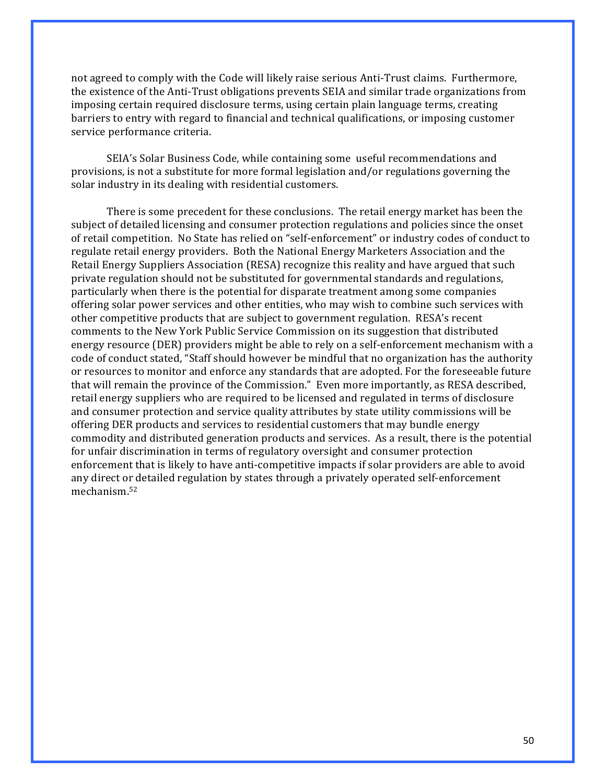not agreed to comply with the Code will likely raise serious Anti-Trust claims. Furthermore, the existence of the Anti-Trust obligations prevents SEIA and similar trade organizations from imposing certain required disclosure terms, using certain plain language terms, creating barriers to entry with regard to financial and technical qualifications, or imposing customer service performance criteria.

SEIA's Solar Business Code, while containing some useful recommendations and provisions, is not a substitute for more formal legislation and/or regulations governing the solar industry in its dealing with residential customers.

There is some precedent for these conclusions. The retail energy market has been the subject of detailed licensing and consumer protection regulations and policies since the onset of retail competition. No State has relied on "self-enforcement" or industry codes of conduct to regulate retail energy providers. Both the National Energy Marketers Association and the Retail Energy Suppliers Association (RESA) recognize this reality and have argued that such private regulation should not be substituted for governmental standards and regulations, particularly when there is the potential for disparate treatment among some companies offering solar power services and other entities, who may wish to combine such services with other competitive products that are subject to government regulation. RESA's recent comments to the New York Public Service Commission on its suggestion that distributed energy resource (DER) providers might be able to rely on a self-enforcement mechanism with a code of conduct stated, "Staff should however be mindful that no organization has the authority or resources to monitor and enforce any standards that are adopted. For the foreseeable future that will remain the province of the Commission." Even more importantly, as RESA described, retail energy suppliers who are required to be licensed and regulated in terms of disclosure and consumer protection and service quality attributes by state utility commissions will be offering DER products and services to residential customers that may bundle energy commodity and distributed generation products and services. As a result, there is the potential for unfair discrimination in terms of regulatory oversight and consumer protection enforcement that is likely to have anti-competitive impacts if solar providers are able to avoid any direct or detailed regulation by states through a privately operated self-enforcement mechanism.52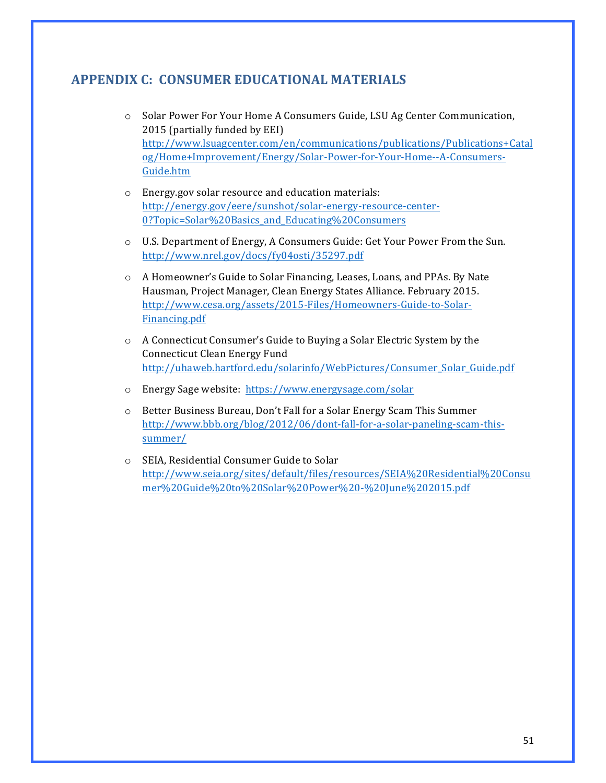# **APPENDIX C: CONSUMER EDUCATIONAL MATERIALS**

- $\circ$  Solar Power For Your Home A Consumers Guide, LSU Ag Center Communication, 2015 (partially funded by EEI) http://www.lsuagcenter.com/en/communications/publications/Publications+Catal og/Home+Improvement/Energy/Solar-Power-for-Your-Home--A-Consumers-Guide.htm
- $\circ$  Energy.gov solar resource and education materials: http://energy.gov/eere/sunshot/solar-energy-resource-center-0?Topic=Solar%20Basics\_and\_Educating%20Consumers
- $\circ$  U.S. Department of Energy, A Consumers Guide: Get Your Power From the Sun. http://www.nrel.gov/docs/fy04osti/35297.pdf
- o A Homeowner's Guide to Solar Financing, Leases, Loans, and PPAs. By Nate Hausman, Project Manager, Clean Energy States Alliance. February 2015. http://www.cesa.org/assets/2015-Files/Homeowners-Guide-to-Solar-Financing.pdf
- $\circ$  A Connecticut Consumer's Guide to Buying a Solar Electric System by the Connecticut Clean Energy Fund http://uhaweb.hartford.edu/solarinfo/WebPictures/Consumer\_Solar\_Guide.pdf
- o Energy Sage website: https://www.energysage.com/solar
- $\circ$  Better Business Bureau, Don't Fall for a Solar Energy Scam This Summer http://www.bbb.org/blog/2012/06/dont-fall-for-a-solar-paneling-scam-thissummer/
- o SEIA, Residential Consumer Guide to Solar http://www.seia.org/sites/default/files/resources/SEIA%20Residential%20Consu mer%20Guide%20to%20Solar%20Power%20-%20June%202015.pdf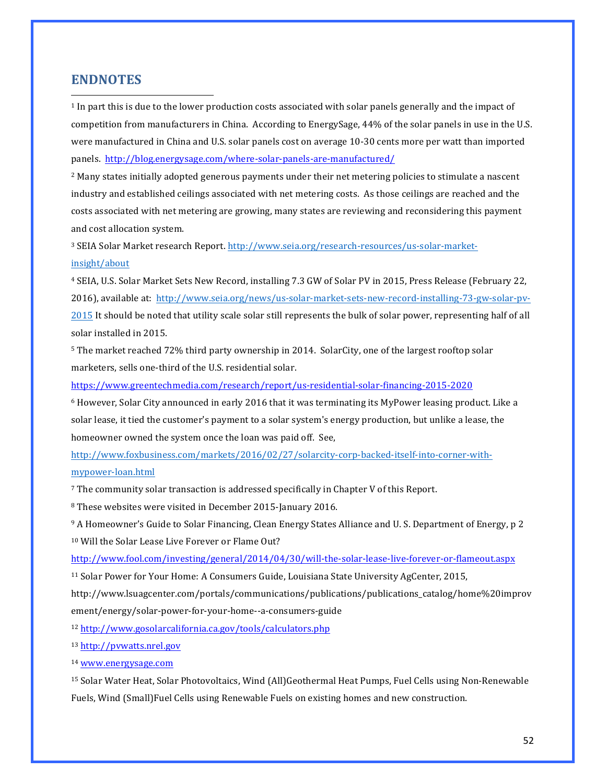#### **ENDNOTES**

<u> 1989 - Johann Stein, markin film yn y breninn y breninn y breninn y breninn y breninn y breninn y breninn y b</u>

<sup>1</sup> In part this is due to the lower production costs associated with solar panels generally and the impact of competition from manufacturers in China. According to EnergySage, 44% of the solar panels in use in the U.S. were manufactured in China and U.S. solar panels cost on average 10-30 cents more per watt than imported panels. http://blog.energysage.com/where-solar-panels-are-manufactured/

<sup>2</sup> Many states initially adopted generous payments under their net metering policies to stimulate a nascent industry and established ceilings associated with net metering costs. As those ceilings are reached and the costs associated with net metering are growing, many states are reviewing and reconsidering this payment and cost allocation system.

<sup>3</sup> SEIA Solar Market research Report. http://www.seia.org/research-resources/us-solar-marketinsight/about

<sup>4</sup> SEIA, U.S. Solar Market Sets New Record, installing 7.3 GW of Solar PV in 2015, Press Release (February 22, 2016), available at: http://www.seia.org/news/us-solar-market-sets-new-record-installing-73-gw-solar-pv-2015 It should be noted that utility scale solar still represents the bulk of solar power, representing half of all solar installed in 2015.

<sup>5</sup> The market reached 72% third party ownership in 2014. SolarCity, one of the largest rooftop solar marketers, sells one-third of the U.S. residential solar.

https://www.greentechmedia.com/research/report/us-residential-solar-financing-2015-2020

<sup>6</sup> However, Solar City announced in early 2016 that it was terminating its MyPower leasing product. Like a solar lease, it tied the customer's payment to a solar system's energy production, but unlike a lease, the homeowner owned the system once the loan was paid off. See,

http://www.foxbusiness.com/markets/2016/02/27/solarcity-corp-backed-itself-into-corner-withmypower-loan.html

 $7$  The community solar transaction is addressed specifically in Chapter V of this Report.

<sup>8</sup> These websites were visited in December 2015-January 2016.

<sup>9</sup> A Homeowner's Guide to Solar Financing, Clean Energy States Alliance and U. S. Department of Energy, p 2 <sup>10</sup> Will the Solar Lease Live Forever or Flame Out?

http://www.fool.com/investing/general/2014/04/30/will-the-solar-lease-live-forever-or-flameout.aspx

<sup>11</sup> Solar Power for Your Home: A Consumers Guide, Louisiana State University AgCenter, 2015,

http://www.lsuagcenter.com/portals/communications/publications/publications\_catalog/home%20improv ement/energy/solar-power-for-your-home--a-consumers-guide

<sup>12</sup> http://www.gosolarcalifornia.ca.gov/tools/calculators.php

<sup>13</sup> http://pvwatts.nrel.gov

<sup>14</sup> www.energysage.com

15 Solar Water Heat, Solar Photovoltaics, Wind (All)Geothermal Heat Pumps, Fuel Cells using Non-Renewable Fuels, Wind (Small)Fuel Cells using Renewable Fuels on existing homes and new construction.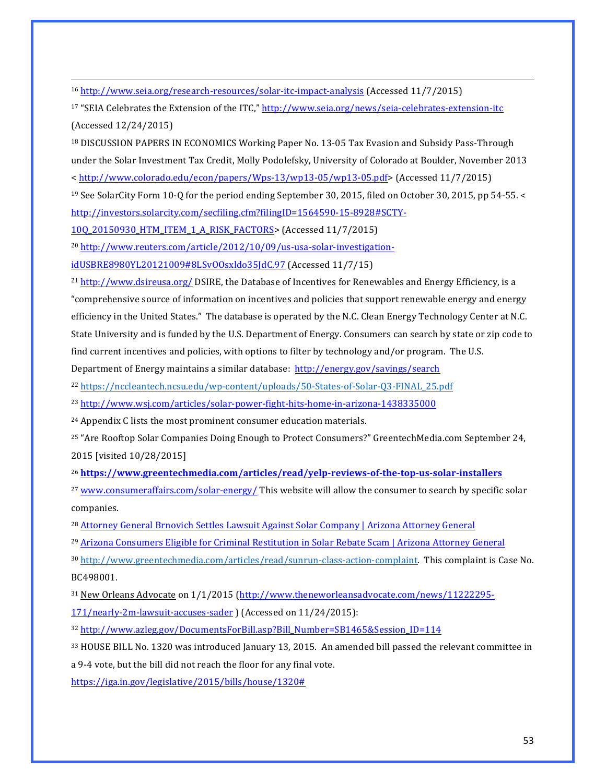<sup>16</sup> http://www.seia.org/research-resources/solar-itc-impact-analysis (Accessed 11/7/2015)

<sup>17</sup> "SEIA Celebrates the Extension of the ITC," http://www.seia.org/news/seia-celebrates-extension-itc (Accessed 12/24/2015) 

<sup>18</sup> DISCUSSION PAPERS IN ECONOMICS Working Paper No. 13-05 Tax Evasion and Subsidy Pass-Through under the Solar Investment Tax Credit, Molly Podolefsky, University of Colorado at Boulder, November 2013

<u> 1989 - Johann Stoff, fransk politik (f. 1989)</u>

< http://www.colorado.edu/econ/papers/Wps-13/wp13-05/wp13-05.pdf> (Accessed 11/7/2015)

<sup>19</sup> See SolarCity Form 10-Q for the period ending September 30, 2015, filed on October 30, 2015, pp 54-55. < http://investors.solarcity.com/secfiling.cfm?filingID=1564590-15-8928#SCTY-

10Q\_20150930\_HTM\_ITEM\_1\_A\_RISK\_FACTORS> (Accessed 11/7/2015)

<sup>20</sup> http://www.reuters.com/article/2012/10/09/us-usa-solar-investigationidUSBRE8980YL20121009#8LSvOOsxldo35JdC.97 (Accessed 11/7/15)

 $21$  http://www.dsireusa.org/ DSIRE, the Database of Incentives for Renewables and Energy Efficiency, is a "comprehensive source of information on incentives and policies that support renewable energy and energy efficiency in the United States." The database is operated by the N.C. Clean Energy Technology Center at N.C. State University and is funded by the U.S. Department of Energy. Consumers can search by state or zip code to find current incentives and policies, with options to filter by technology and/or program. The U.S.

Department of Energy maintains a similar database: http://energy.gov/savings/search

<sup>22</sup> https://nccleantech.ncsu.edu/wp-content/uploads/50-States-of-Solar-Q3-FINAL\_25.pdf

<sup>23</sup> http://www.wsj.com/articles/solar-power-fight-hits-home-in-arizona-1438335000

<sup>24</sup> Appendix C lists the most prominent consumer education materials.

<sup>25</sup> "Are Rooftop Solar Companies Doing Enough to Protect Consumers?" GreentechMedia.com September 24, 2015 [visited 10/28/2015]

<sup>26</sup> **https://www.greentechmedia.com/articles/read/yelp-reviews-of-the-top-us-solar-installers**

<sup>27</sup> www.consumeraffairs.com/solar-energy/ This website will allow the consumer to search by specific solar companies.

<sup>28</sup> Attorney General Brnovich Settles Lawsuit Against Solar Company | Arizona Attorney General

<sup>29</sup> Arizona Consumers Eligible for Criminal Restitution in Solar Rebate Scam | Arizona Attorney General

30 http://www.greentechmedia.com/articles/read/sunrun-class-action-complaint. This complaint is Case No. BC498001.

<sup>31</sup> New Orleans Advocate on 1/1/2015 (http://www.theneworleansadvocate.com/news/11222295-171/nearly-2m-lawsuit-accuses-sader ) (Accessed on 11/24/2015):

<sup>32</sup> http://www.azleg.gov/DocumentsForBill.asp?Bill\_Number=SB1465&Session\_ID=114

33 HOUSE BILL No. 1320 was introduced January 13, 2015. An amended bill passed the relevant committee in a 9-4 vote, but the bill did not reach the floor for any final vote.

https://iga.in.gov/legislative/2015/bills/house/1320#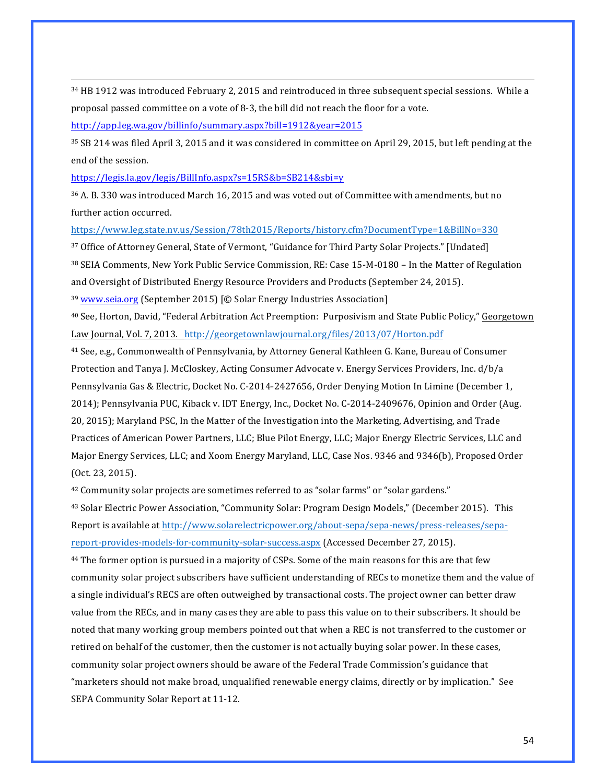<sup>34</sup> HB 1912 was introduced February 2, 2015 and reintroduced in three subsequent special sessions. While a proposal passed committee on a vote of 8-3, the bill did not reach the floor for a vote.

<u> 1989 - Johann Stoff, fransk politik (f. 1989)</u>

http://app.leg.wa.gov/billinfo/summary.aspx?bill=1912&year=2015

35 SB 214 was filed April 3, 2015 and it was considered in committee on April 29, 2015, but left pending at the end of the session.

https://legis.la.gov/legis/BillInfo.aspx?s=15RS&b=SB214&sbi=y

36 A. B. 330 was introduced March 16, 2015 and was voted out of Committee with amendments, but no further action occurred.

https://www.leg.state.nv.us/Session/78th2015/Reports/history.cfm?DocumentType=1&BillNo=330

<sup>37</sup> Office of Attorney General, State of Vermont, "Guidance for Third Party Solar Projects." [Undated] 38 SEIA Comments, New York Public Service Commission, RE: Case 15-M-0180 – In the Matter of Regulation and Oversight of Distributed Energy Resource Providers and Products (September 24, 2015). <sup>39</sup> www.seia.org (September 2015) [© Solar Energy Industries Association]

<sup>40</sup> See, Horton, David, "Federal Arbitration Act Preemption: Purposivism and State Public Policy," Georgetown Law Journal, Vol. 7, 2013. http://georgetownlawjournal.org/files/2013/07/Horton.pdf

<sup>41</sup> See, e.g., Commonwealth of Pennsylvania, by Attorney General Kathleen G. Kane, Bureau of Consumer Protection and Tanya J. McCloskey, Acting Consumer Advocate v. Energy Services Providers, Inc. d/b/a Pennsylvania Gas & Electric, Docket No. C-2014-2427656, Order Denying Motion In Limine (December 1, 2014); Pennsylvania PUC, Kiback v. IDT Energy, Inc., Docket No. C-2014-2409676, Opinion and Order (Aug. 20, 2015); Maryland PSC, In the Matter of the Investigation into the Marketing, Advertising, and Trade Practices of American Power Partners, LLC; Blue Pilot Energy, LLC; Major Energy Electric Services, LLC and Major Energy Services, LLC; and Xoom Energy Maryland, LLC, Case Nos. 9346 and 9346(b), Proposed Order (Oct. 23, 2015).

<sup>42</sup> Community solar projects are sometimes referred to as "solar farms" or "solar gardens."

<sup>43</sup> Solar Electric Power Association, "Community Solar: Program Design Models," (December 2015). This Report is available at http://www.solarelectricpower.org/about-sepa/sepa-news/press-releases/separeport-provides-models-for-community-solar-success.aspx (Accessed December 27, 2015).

<sup>44</sup> The former option is pursued in a majority of CSPs. Some of the main reasons for this are that few community solar project subscribers have sufficient understanding of RECs to monetize them and the value of a single individual's RECS are often outweighed by transactional costs. The project owner can better draw value from the RECs, and in many cases they are able to pass this value on to their subscribers. It should be noted that many working group members pointed out that when a REC is not transferred to the customer or retired on behalf of the customer, then the customer is not actually buying solar power. In these cases, community solar project owners should be aware of the Federal Trade Commission's guidance that "marketers should not make broad, unqualified renewable energy claims, directly or by implication." See SEPA Community Solar Report at 11-12.